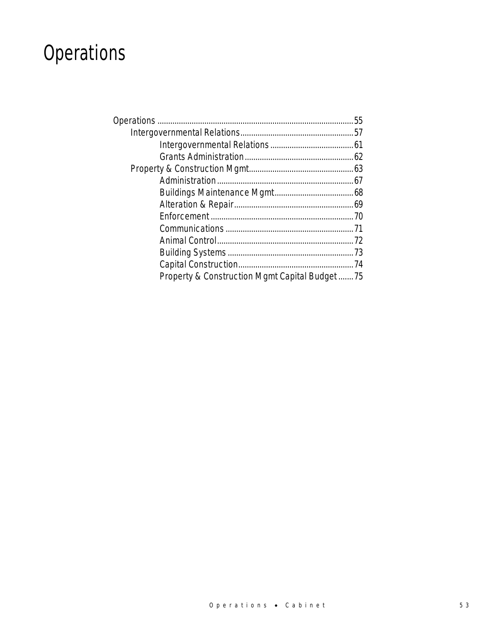# **Operations**

| Property & Construction Mgmt Capital Budget75 |  |
|-----------------------------------------------|--|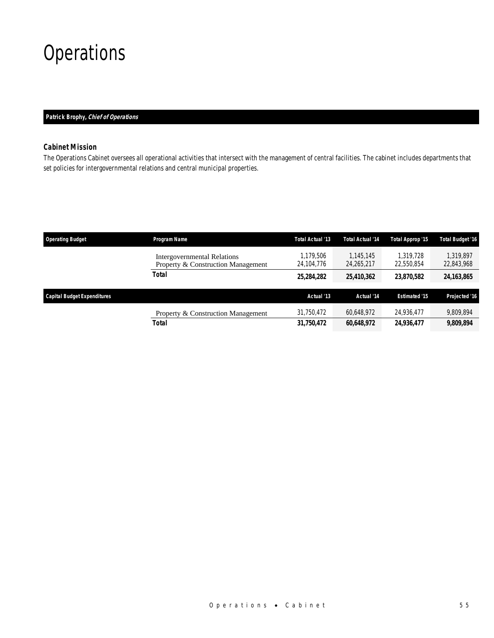# **Operations**

## *Patrick Brophy, Chief of Operations*

# *Cabinet Mission*

The Operations Cabinet oversees all operational activities that intersect with the management of central facilities. The cabinet includes departments that set policies for intergovernmental relations and central municipal properties.

| <b>Operating Budget</b>            | Program Name                                                             | Total Actual '13        | <b>Total Actual '14</b> | Total Approp '15        | Total Budget '16        |
|------------------------------------|--------------------------------------------------------------------------|-------------------------|-------------------------|-------------------------|-------------------------|
|                                    | <b>Intergovernmental Relations</b><br>Property & Construction Management | 1.179.506<br>24,104,776 | 1.145.145<br>24,265,217 | 1,319,728<br>22,550,854 | 1.319.897<br>22,843,968 |
|                                    | Total                                                                    | 25,284,282              | 25,410,362              | 23.870.582              | 24,163,865              |
| <b>Capital Budget Expenditures</b> |                                                                          | Actual '13              | Actual '14              | <b>Estimated '15</b>    | Projected '16           |
|                                    | Property & Construction Management                                       | 31.750.472              | 60.648.972              | 24.936.477              | 9,809,894               |
|                                    | Total                                                                    | 31,750,472              | 60,648,972              | 24,936,477              | 9,809,894               |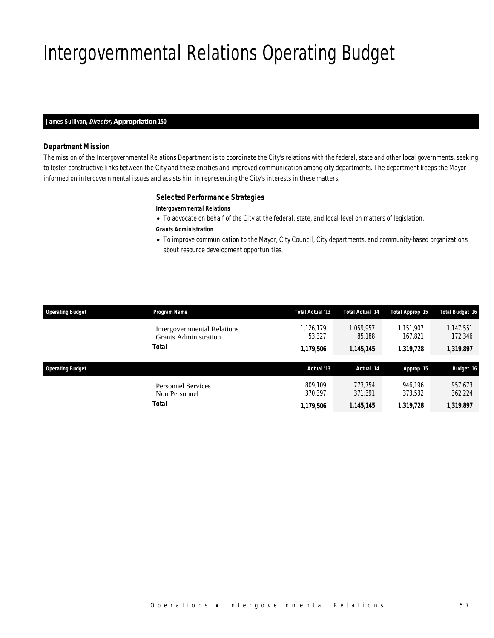# Intergovernmental Relations Operating Budget

#### *James Sullivan, Director, Appropriation 150*

## *Department Mission*

The mission of the Intergovernmental Relations Department is to coordinate the City's relations with the federal, state and other local governments, seeking to foster constructive links between the City and these entities and improved communication among city departments. The department keeps the Mayor informed on intergovernmental issues and assists him in representing the City's interests in these matters.

### *Selected Performance Strategies*

### *Intergovernmental Relations*

- To advocate on behalf of the City at the federal, state, and local level on matters of legislation.
- *Grants Administration*
- To improve communication to the Mayor, City Council, City departments, and community-based organizations about resource development opportunities.

| <b>Operating Budget</b> | Program Name                                                | <b>Total Actual '13</b> | <b>Total Actual '14</b> | Total Approp '15     | <b>Total Budget '16</b> |
|-------------------------|-------------------------------------------------------------|-------------------------|-------------------------|----------------------|-------------------------|
|                         | Intergovernmental Relations<br><b>Grants Administration</b> | 1,126,179<br>53.327     | 1.059.957<br>85,188     | 1.151.907<br>167,821 | 1,147,551<br>172,346    |
|                         | <b>Total</b>                                                | 1,179,506               | 1,145,145               | 1,319,728            | 1,319,897               |
| <b>Operating Budget</b> |                                                             | Actual '13              | Actual '14              | Approp '15           | <b>Budget '16</b>       |
|                         | <b>Personnel Services</b><br>Non Personnel                  | 809.109<br>370.397      | 773.754<br>371,391      | 946.196<br>373,532   | 957,673<br>362,224      |
|                         | Total                                                       |                         |                         |                      |                         |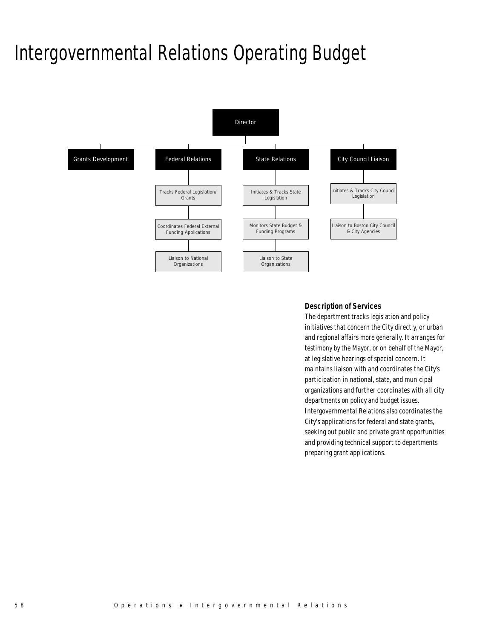# Intergovernmental Relations Operating Budget



# *Description of Services*

The department tracks legislation and policy initiatives that concern the City directly, or urban and regional affairs more generally. It arranges for testimony by the Mayor, or on behalf of the Mayor, at legislative hearings of special concern. It maintains liaison with and coordinates the City's participation in national, state, and municipal organizations and further coordinates with all city departments on policy and budget issues. Intergovernmental Relations also coordinates the City's applications for federal and state grants, seeking out public and private grant opportunities and providing technical support to departments preparing grant applications.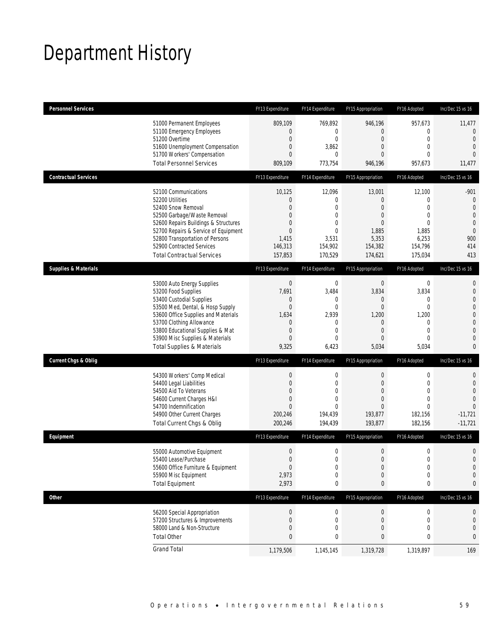# Department History

| <b>Personnel Services</b>       |                                                                                                                                                                                                                                                                                                      | FY13 Expenditure                                                                                           | FY14 Expenditure                                                                                      | FY15 Appropriation                                                                                    | FY16 Adopted                                                                                                   | Inc/Dec 15 vs 16                                                                                                                               |
|---------------------------------|------------------------------------------------------------------------------------------------------------------------------------------------------------------------------------------------------------------------------------------------------------------------------------------------------|------------------------------------------------------------------------------------------------------------|-------------------------------------------------------------------------------------------------------|-------------------------------------------------------------------------------------------------------|----------------------------------------------------------------------------------------------------------------|------------------------------------------------------------------------------------------------------------------------------------------------|
|                                 | 51000 Permanent Employees<br>51100 Emergency Employees<br>51200 Overtime<br>51600 Unemployment Compensation<br>51700 Workers' Compensation<br><b>Total Personnel Services</b>                                                                                                                        | 809,109<br>0<br>0<br>0<br>$\overline{0}$<br>809,109                                                        | 769,892<br>0<br>$\mathbf 0$<br>3,862<br>0<br>773,754                                                  | 946,196<br>$\mathbf{0}$<br>$\mathbf 0$<br>$\overline{0}$<br>0<br>946,196                              | 957,673<br>0<br>$\boldsymbol{0}$<br>$\mathbf{0}$<br>$\mathbf{0}$<br>957,673                                    | 11,477<br>$\mathbf 0$<br>$\overline{0}$<br>$\mathbf{0}$<br>$\overline{0}$<br>11,477                                                            |
| <b>Contractual Services</b>     |                                                                                                                                                                                                                                                                                                      | FY13 Expenditure                                                                                           | FY14 Expenditure                                                                                      | FY15 Appropriation                                                                                    | FY16 Adopted                                                                                                   | Inc/Dec 15 vs 16                                                                                                                               |
|                                 | 52100 Communications<br>52200 Utilities<br>52400 Snow Removal<br>52500 Garbage/Waste Removal<br>52600 Repairs Buildings & Structures<br>52700 Repairs & Service of Equipment<br>52800 Transportation of Persons<br>52900 Contracted Services<br><b>Total Contractual Services</b>                    | 10,125<br>0<br>0<br>0<br>0<br>$\overline{0}$<br>1,415<br>146,313<br>157,853                                | 12,096<br>0<br>$\mathbf{0}$<br>0<br>$\mathbf{0}$<br>$\mathbf 0$<br>3,531<br>154,902<br>170,529        | 13,001<br>$\mathbf{0}$<br>0<br>$\mathbf{0}$<br>$\overline{0}$<br>1,885<br>5,353<br>154,382<br>174,621 | 12,100<br>0<br>$\overline{0}$<br>$\mathbf{0}$<br>$\mathbf{0}$<br>1,885<br>6,253<br>154,796<br>175,034          | $-901$<br>$\theta$<br>$\mathbf{0}$<br>$\overline{0}$<br>$\mathbf{0}$<br>$\mathbf{0}$<br>900<br>414<br>413                                      |
| <b>Supplies &amp; Materials</b> |                                                                                                                                                                                                                                                                                                      | FY13 Expenditure                                                                                           | FY14 Expenditure                                                                                      | FY15 Appropriation                                                                                    | FY16 Adopted                                                                                                   | Inc/Dec 15 vs 16                                                                                                                               |
|                                 | 53000 Auto Energy Supplies<br>53200 Food Supplies<br>53400 Custodial Supplies<br>53500 Med, Dental, & Hosp Supply<br>53600 Office Supplies and Materials<br>53700 Clothing Allowance<br>53800 Educational Supplies & Mat<br>53900 Misc Supplies & Materials<br><b>Total Supplies &amp; Materials</b> | $\bf 0$<br>7,691<br>0<br>$\overline{0}$<br>1,634<br>0<br>$\mathbf 0$<br>$\overline{0}$<br>9,325            | $\boldsymbol{0}$<br>3,484<br>0<br>$\mathbf{0}$<br>2,939<br>0<br>$\mathbf{0}$<br>$\mathbf{0}$<br>6,423 | $\boldsymbol{0}$<br>3,834<br>0<br>$\overline{0}$<br>1,200<br>$\mathbf 0$<br>$\mathbf 0$<br>0<br>5,034 | $\boldsymbol{0}$<br>3,834<br>0<br>$\mathbf 0$<br>1,200<br>$\mathbf 0$<br>$\mathbf{0}$<br>$\mathbf{0}$<br>5,034 | $\mathbf{0}$<br>$\mathbf 0$<br>$\mathbf{0}$<br>$\mathbf{0}$<br>$\mathbf 0$<br>$\overline{0}$<br>$\mathbf{0}$<br>$\overline{0}$<br>$\mathbf{0}$ |
| <b>Current Chgs &amp; Oblig</b> |                                                                                                                                                                                                                                                                                                      | FY13 Expenditure                                                                                           | FY14 Expenditure                                                                                      | FY15 Appropriation                                                                                    | FY16 Adopted                                                                                                   | Inc/Dec 15 vs 16                                                                                                                               |
|                                 | 54300 Workers' Comp Medical<br>54400 Legal Liabilities<br>54500 Aid To Veterans<br>54600 Current Charges H&I<br>54700 Indemnification<br>54900 Other Current Charges<br>Total Current Chgs & Oblig                                                                                                   | $\boldsymbol{0}$<br>$\boldsymbol{0}$<br>$\overline{0}$<br>$\overline{0}$<br>$\Omega$<br>200,246<br>200,246 | $\boldsymbol{0}$<br>$\mathbf 0$<br>$\overline{0}$<br>0<br>$\Omega$<br>194,439<br>194,439              | $\boldsymbol{0}$<br>$\overline{0}$<br>$\overline{0}$<br>$\mathbf{0}$<br>0<br>193,877<br>193,877       | $\boldsymbol{0}$<br>$\mathbf{0}$<br>$\overline{0}$<br>$\mathbf{0}$<br>$\theta$<br>182,156<br>182,156           | 0<br>$\mathbf 0$<br>$\overline{0}$<br>$\overline{0}$<br>$\Omega$<br>$-11,721$<br>$-11,721$                                                     |
| Equipment                       |                                                                                                                                                                                                                                                                                                      | FY13 Expenditure                                                                                           | FY14 Expenditure                                                                                      | FY15 Appropriation                                                                                    | FY16 Adopted                                                                                                   | Inc/Dec 15 vs 16                                                                                                                               |
|                                 | 55000 Automotive Equipment<br>55400 Lease/Purchase<br>55600 Office Furniture & Equipment<br>55900 Misc Equipment<br><b>Total Equipment</b>                                                                                                                                                           | $\boldsymbol{0}$<br>$\Omega$<br>$\boldsymbol{0}$<br>2,973<br>2,973                                         | 0<br>$\overline{0}$<br>0<br>0<br>0                                                                    | $\boldsymbol{0}$<br>0<br>$\boldsymbol{0}$<br>$\mathbf 0$<br>0                                         | $\boldsymbol{0}$<br>$\boldsymbol{0}$<br>$\boldsymbol{0}$<br>$\boldsymbol{0}$<br>$\pmb{0}$                      | $\mathbf 0$<br>$\mathbf 0$<br>$\mathbf 0$<br>0<br>0                                                                                            |
| <b>Other</b>                    |                                                                                                                                                                                                                                                                                                      | FY13 Expenditure                                                                                           | FY14 Expenditure                                                                                      | FY15 Appropriation                                                                                    | FY16 Adopted                                                                                                   | Inc/Dec 15 vs 16                                                                                                                               |
|                                 | 56200 Special Appropriation<br>57200 Structures & Improvements<br>58000 Land & Non-Structure<br><b>Total Other</b>                                                                                                                                                                                   | $\boldsymbol{0}$<br>$\boldsymbol{0}$<br>0<br>$\bf{0}$                                                      | 0<br>$\boldsymbol{0}$<br>0<br>0                                                                       | $\boldsymbol{0}$<br>$\mathbf 0$<br>$\mathbf 0$<br>0                                                   | 0<br>$\boldsymbol{0}$<br>$\boldsymbol{0}$<br>0                                                                 | 0<br>$\theta$<br>$\boldsymbol{0}$<br>0                                                                                                         |
|                                 | <b>Grand Total</b>                                                                                                                                                                                                                                                                                   | 1,179,506                                                                                                  | 1,145,145                                                                                             | 1,319,728                                                                                             | 1,319,897                                                                                                      | 169                                                                                                                                            |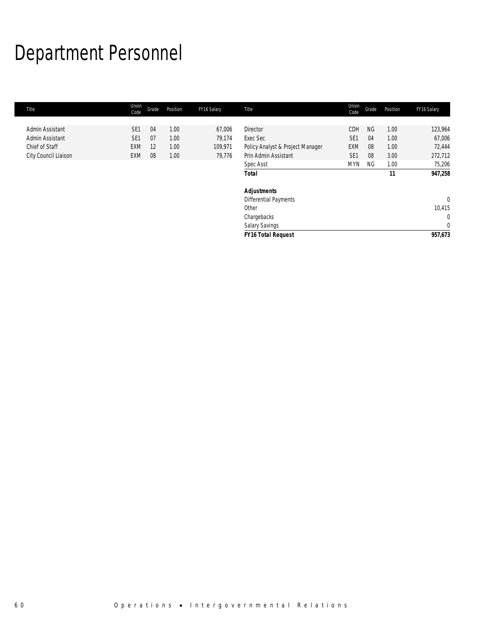# Department Personnel

| Title                                                                        | Union<br>Code                                    | Grade                | Position                     | FY16 Salary                           | Title                                                                                                         | Union<br>Code                                                  | Grade                              | Position                                   | FY16 Salary                                                 |
|------------------------------------------------------------------------------|--------------------------------------------------|----------------------|------------------------------|---------------------------------------|---------------------------------------------------------------------------------------------------------------|----------------------------------------------------------------|------------------------------------|--------------------------------------------|-------------------------------------------------------------|
| Admin Assistant<br>Admin Assistant<br>Chief of Staff<br>City Council Liaison | SE <sub>1</sub><br>SE <sub>1</sub><br>EXM<br>EXM | 04<br>07<br>12<br>08 | 1.00<br>1.00<br>1.00<br>1.00 | 67,006<br>79,174<br>109,971<br>79,776 | <b>Director</b><br>Exec Sec<br>Policy Analyst & Project Manager<br>Prin Admin Assistant<br>Spec Asst<br>Total | CDH<br>SE <sub>1</sub><br>EXM<br>SE <sub>1</sub><br><b>MYN</b> | <b>NG</b><br>04<br>08<br>08<br>NG. | 1.00<br>1.00<br>1.00<br>3.00<br>1.00<br>11 | 123,964<br>67,006<br>72,444<br>272,712<br>75,206<br>947,258 |
|                                                                              |                                                  |                      |                              |                                       | <b>Adjustments</b><br>Differential Payments<br>Other<br>Chargebacks<br><b>Salary Savings</b>                  |                                                                |                                    |                                            | $\mathbf{0}$<br>10,415<br>$\mathbf{0}$<br>$\mathbf{0}$      |
|                                                                              |                                                  |                      |                              |                                       | <b>FY16 Total Request</b>                                                                                     |                                                                |                                    |                                            | 957,673                                                     |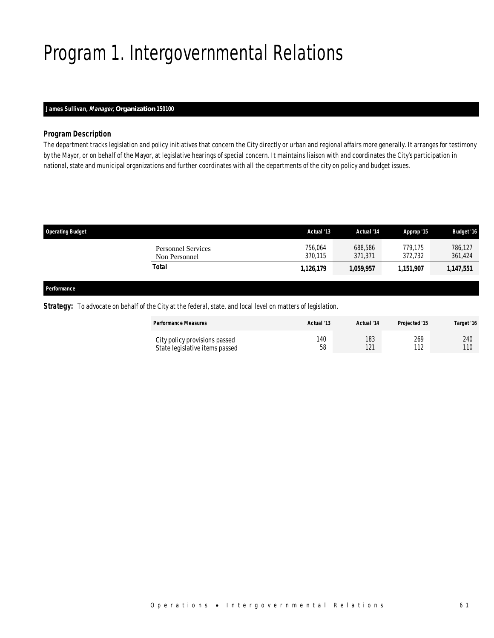# Program 1. Intergovernmental Relations

# *James Sullivan, Manager, Organization 150100*

### *Program Description*

The department tracks legislation and policy initiatives that concern the City directly or urban and regional affairs more generally. It arranges for testimony by the Mayor, or on behalf of the Mayor, at legislative hearings of special concern. It maintains liaison with and coordinates the City's participation in national, state and municipal organizations and further coordinates with all the departments of the city on policy and budget issues.

| <b>Operating Budget</b>                    | Actual '13         | Actual '14         | Approp '15         | <b>Budget '16</b>  |
|--------------------------------------------|--------------------|--------------------|--------------------|--------------------|
| <b>Personnel Services</b><br>Non Personnel | 756.064<br>370.115 | 688.586<br>371,371 | 779.175<br>372,732 | 786,127<br>361,424 |
| Total                                      | 1,126,179          | 1,059,957          | 1,151,907          | 1,147,551          |
|                                            |                    |                    |                    |                    |

#### *Performance*

### **Strategy:** To advocate on behalf of the City at the federal, state, and local level on matters of legislation.

| <b>Performance Measures</b>    | Actual '13 | Actual '14 | Projected '15 | Target '16 |
|--------------------------------|------------|------------|---------------|------------|
| City policy provisions passed  | 140        | 183        | 269           | 240        |
| State legislative items passed | 58         | 121        | 112           | 110        |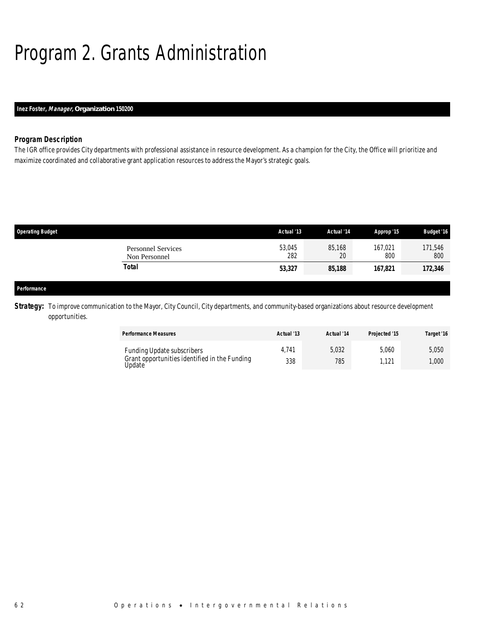# Program 2. Grants Administration

# *Inez Foster, Manager, Organization 150200*

## *Program Description*

The IGR office provides City departments with professional assistance in resource development. As a champion for the City, the Office will prioritize and maximize coordinated and collaborative grant application resources to address the Mayor's strategic goals.

| <b>Operating Budget</b> |                                            | Actual '13    | Actual '14   | Approp '15     | <b>Budget '16</b> |
|-------------------------|--------------------------------------------|---------------|--------------|----------------|-------------------|
|                         | <b>Personnel Services</b><br>Non Personnel | 53,045<br>282 | 85,168<br>20 | 167,021<br>800 | 171,546<br>800    |
|                         | <b>Total</b>                               | 53,327        | 85,188       | 167,821        | 172,346           |
|                         |                                            |               |              |                |                   |
| Performance             |                                            |               |              |                |                   |

**Strategy:** To improve communication to the Mayor, City Council, City departments, and community-based organizations about resource development opportunities.

| <b>Performance Measures</b>                                                                         | Actual '13   | Actual '14   | Projected '15 | Target '16     |
|-----------------------------------------------------------------------------------------------------|--------------|--------------|---------------|----------------|
| <b>Funding Update subscribers</b><br>Grant opportunities identified in the Funding<br><b>Jpdate</b> | 4.741<br>338 | 5,032<br>785 | 5.060<br>.121 | 5,050<br>1,000 |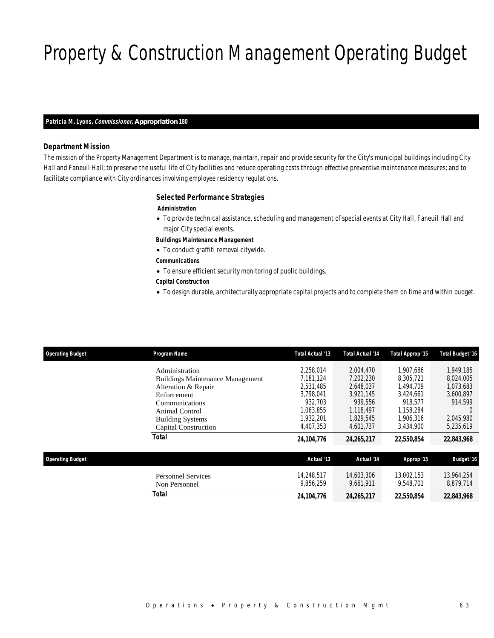# Property & Construction Management Operating Budget

#### *Patricia M. Lyons, Commissioner, Appropriation 180*

## *Department Mission*

The mission of the Property Management Department is to manage, maintain, repair and provide security for the City's municipal buildings including City Hall and Faneuil Hall; to preserve the useful life of City facilities and reduce operating costs through effective preventive maintenance measures; and to facilitate compliance with City ordinances involving employee residency regulations.

#### *Selected Performance Strategies*

#### *Administration*

- To provide technical assistance, scheduling and management of special events at City Hall, Faneuil Hall and major City special events.
- *Buildings Maintenance Management*
- To conduct graffiti removal citywide.
- *Communications*
- To ensure efficient security monitoring of public buildings.
- *Capital Construction*
- To design durable, architecturally appropriate capital projects and to complete them on time and within budget.

| <b>Operating Budget</b> | Program Name                               | Total Actual '13        | Total Actual '14        | Total Approp '15        | <b>Total Budget '16</b> |
|-------------------------|--------------------------------------------|-------------------------|-------------------------|-------------------------|-------------------------|
|                         | Administration                             | 2.258.014               | 2.004.470               | 1.907.686               | 1.949.185               |
|                         | <b>Buildings Maintenance Management</b>    | 7.181.124               | 7,202,230               | 8,305,721               | 8,024,005               |
|                         | Alteration & Repair                        | 2,531,485               | 2,648,037               | 1.494.709               | 1,073,683               |
|                         | Enforcement                                | 3.798.041               | 3.921.145               | 3.424.661               | 3,600,897               |
|                         | Communications                             | 932.703                 | 939.556                 | 918.577                 | 914,599                 |
|                         | Animal Control                             | 1.063.855               | 1.118.497               | 1,158,284               | $\Omega$                |
|                         | <b>Building Systems</b>                    | 1.932.201               | 1.829.545               | 1,906,316               | 2.045.980               |
|                         | Capital Construction                       | 4.407.353               | 4.601.737               | 3,434,900               | 5,235,619               |
|                         | <b>Total</b>                               | 24, 104, 776            | 24,265,217              | 22,550,854              | 22,843,968              |
| <b>Operating Budget</b> |                                            | Actual '13              | Actual '14              | Approp '15              | <b>Budget '16</b>       |
|                         | <b>Personnel Services</b><br>Non Personnel | 14.248.517<br>9.856.259 | 14,603,306<br>9.661.911 | 13.002.153<br>9.548.701 | 13,964,254<br>8,879,714 |
|                         | <b>Total</b>                               | 24, 104, 776            | 24,265,217              | 22,550,854              | 22,843,968              |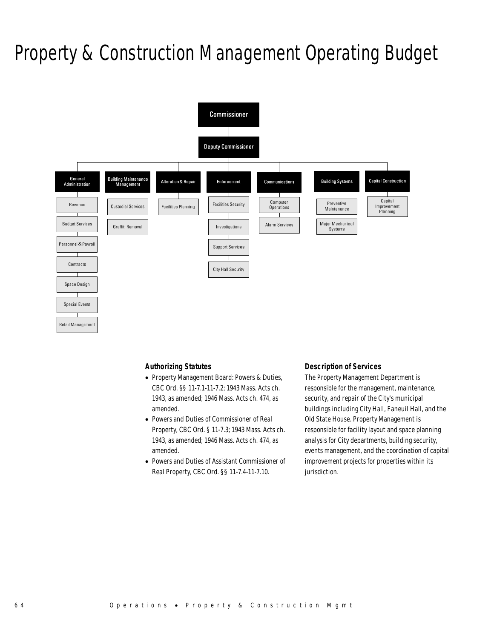# Property & Construction Management Operating Budget



### *Authorizing Statutes*

- Property Management Board: Powers & Duties, CBC Ord. §§ 11-7.1-11-7.2; 1943 Mass. Acts ch. 1943, as amended; 1946 Mass. Acts ch. 474, as amended.
- Powers and Duties of Commissioner of Real Property, CBC Ord. § 11-7.3; 1943 Mass. Acts ch. 1943, as amended; 1946 Mass. Acts ch. 474, as amended.
- Powers and Duties of Assistant Commissioner of Real Property, CBC Ord. §§ 11-7.4-11-7.10.

### *Description of Services*

The Property Management Department is responsible for the management, maintenance, security, and repair of the City's municipal buildings including City Hall, Faneuil Hall, and the Old State House. Property Management is responsible for facility layout and space planning analysis for City departments, building security, events management, and the coordination of capital improvement projects for properties within its jurisdiction.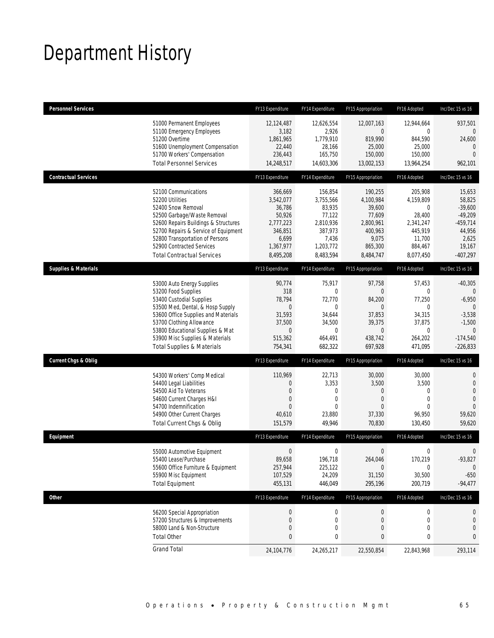# Department History

| <b>Personnel Services</b>       |                                                                                                                                                                                                                                                                                                      | FY13 Expenditure                                                                                          | FY14 Expenditure                                                                                               | FY15 Appropriation                                                                                       | FY16 Adopted                                                                                  | Inc/Dec 15 vs 16                                                                                                  |
|---------------------------------|------------------------------------------------------------------------------------------------------------------------------------------------------------------------------------------------------------------------------------------------------------------------------------------------------|-----------------------------------------------------------------------------------------------------------|----------------------------------------------------------------------------------------------------------------|----------------------------------------------------------------------------------------------------------|-----------------------------------------------------------------------------------------------|-------------------------------------------------------------------------------------------------------------------|
|                                 | 51000 Permanent Employees<br>51100 Emergency Employees<br>51200 Overtime<br>51600 Unemployment Compensation<br>51700 Workers' Compensation<br><b>Total Personnel Services</b>                                                                                                                        | 12,124,487<br>3,182<br>1,861,965<br>22,440<br>236,443<br>14,248,517                                       | 12,626,554<br>2,926<br>1,779,910<br>28,166<br>165,750<br>14,603,306                                            | 12,007,163<br>$\overline{0}$<br>819,990<br>25,000<br>150,000<br>13,002,153                               | 12,944,664<br>0<br>844,590<br>25,000<br>150,000<br>13,964,254                                 | 937,501<br>0<br>24,600<br>$\mathbf 0$<br>$\overline{0}$<br>962,101                                                |
| <b>Contractual Services</b>     |                                                                                                                                                                                                                                                                                                      | FY13 Expenditure                                                                                          | FY14 Expenditure                                                                                               | FY15 Appropriation                                                                                       | FY16 Adopted                                                                                  | Inc/Dec 15 vs 16                                                                                                  |
|                                 | 52100 Communications<br>52200 Utilities<br>52400 Snow Removal<br>52500 Garbage/Waste Removal<br>52600 Repairs Buildings & Structures<br>52700 Repairs & Service of Equipment<br>52800 Transportation of Persons<br>52900 Contracted Services<br><b>Total Contractual Services</b>                    | 366,669<br>3,542,077<br>36,786<br>50,926<br>2,777,223<br>346,851<br>6,699<br>1,367,977<br>8,495,208       | 156,854<br>3,755,566<br>83,935<br>77,122<br>2,810,936<br>387,973<br>7,436<br>1,203,772<br>8,483,594            | 190,255<br>4,100,984<br>39,600<br>77,609<br>2,800,961<br>400,963<br>9,075<br>865,300<br>8,484,747        | 205,908<br>4,159,809<br>0<br>28,400<br>2,341,247<br>445,919<br>11,700<br>884,467<br>8,077,450 | 15,653<br>58,825<br>$-39,600$<br>$-49,209$<br>$-459,714$<br>44,956<br>2,625<br>19,167<br>$-407,297$               |
| <b>Supplies &amp; Materials</b> |                                                                                                                                                                                                                                                                                                      | FY13 Expenditure                                                                                          | FY14 Expenditure                                                                                               | FY15 Appropriation                                                                                       | FY16 Adopted                                                                                  | Inc/Dec 15 vs 16                                                                                                  |
|                                 | 53000 Auto Energy Supplies<br>53200 Food Supplies<br>53400 Custodial Supplies<br>53500 Med, Dental, & Hosp Supply<br>53600 Office Supplies and Materials<br>53700 Clothing Allowance<br>53800 Educational Supplies & Mat<br>53900 Misc Supplies & Materials<br><b>Total Supplies &amp; Materials</b> | 90,774<br>318<br>78,794<br>$\boldsymbol{0}$<br>31,593<br>37,500<br>$\boldsymbol{0}$<br>515,362<br>754,341 | 75,917<br>$\boldsymbol{0}$<br>72,770<br>$\mathbf{0}$<br>34,644<br>34,500<br>$\mathbf{0}$<br>464,491<br>682,322 | 97,758<br>$\overline{0}$<br>84,200<br>$\theta$<br>37,853<br>39,375<br>$\mathbf{0}$<br>438,742<br>697,928 | 57,453<br>0<br>77,250<br>$\mathbf 0$<br>34,315<br>37,875<br>0<br>264,202<br>471,095           | $-40,305$<br>$\mathbf{0}$<br>$-6,950$<br>$\Omega$<br>$-3,538$<br>$-1,500$<br>$\theta$<br>$-174,540$<br>$-226,833$ |
| <b>Current Chgs &amp; Oblig</b> |                                                                                                                                                                                                                                                                                                      | FY13 Expenditure                                                                                          | FY14 Expenditure                                                                                               | FY15 Appropriation                                                                                       | FY16 Adopted                                                                                  | Inc/Dec 15 vs 16                                                                                                  |
|                                 | 54300 Workers' Comp Medical                                                                                                                                                                                                                                                                          |                                                                                                           |                                                                                                                |                                                                                                          |                                                                                               |                                                                                                                   |
|                                 | 54400 Legal Liabilities<br>54500 Aid To Veterans<br>54600 Current Charges H&I<br>54700 Indemnification<br>54900 Other Current Charges<br>Total Current Chgs & Oblig                                                                                                                                  | 110,969<br>0<br>0<br>0<br>$\Omega$<br>40,610<br>151,579                                                   | 22,713<br>3,353<br>0<br>0<br>$\theta$<br>23,880<br>49,946                                                      | 30,000<br>3,500<br>$\theta$<br>$\theta$<br>$\Omega$<br>37,330<br>70,830                                  | 30,000<br>3,500<br>0<br>$\mathbf{0}$<br>$\Omega$<br>96,950<br>130,450                         | $\mathbf 0$<br>$\mathbf 0$<br>$\mathbf{0}$<br>$\overline{0}$<br>$\Omega$<br>59,620<br>59,620                      |
| Equipment                       |                                                                                                                                                                                                                                                                                                      | FY13 Expenditure                                                                                          | FY14 Expenditure                                                                                               | FY15 Appropriation                                                                                       | FY16 Adopted                                                                                  | Inc/Dec 15 vs 16                                                                                                  |
|                                 | 55000 Automotive Equipment<br>55400 Lease/Purchase<br>55600 Office Furniture & Equipment<br>55900 Misc Equipment<br><b>Total Equipment</b>                                                                                                                                                           | $\boldsymbol{0}$<br>89,658<br>257,944<br>107,529<br>455,131                                               | $\boldsymbol{0}$<br>196,718<br>225,122<br>24,209<br>446,049                                                    | $\boldsymbol{0}$<br>264,046<br>$\theta$<br>31,150<br>295,196                                             | $\boldsymbol{0}$<br>170,219<br>0<br>30,500<br>200,719                                         | 0<br>$-93,827$<br>$\mathbf 0$<br>$-650$<br>$-94,477$                                                              |
| <b>Other</b>                    |                                                                                                                                                                                                                                                                                                      | FY13 Expenditure                                                                                          | FY14 Expenditure                                                                                               | FY15 Appropriation                                                                                       | FY16 Adopted                                                                                  | Inc/Dec 15 vs 16                                                                                                  |
|                                 | 56200 Special Appropriation<br>57200 Structures & Improvements<br>58000 Land & Non-Structure<br><b>Total Other</b>                                                                                                                                                                                   | $\boldsymbol{0}$<br>0<br>0<br>0                                                                           | $\boldsymbol{0}$<br>$\boldsymbol{0}$<br>0<br>0                                                                 | $\theta$<br>0<br>$\theta$<br>0                                                                           | 0<br>0<br>0<br>0                                                                              | 0<br>0<br>0<br>0                                                                                                  |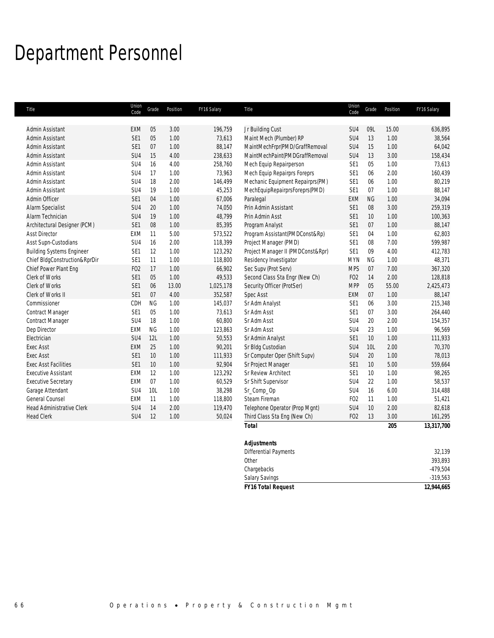# Department Personnel

| Title                            | Union<br>Code   | Grade     | Position | FY16 Salary | Title                             | Union<br>Code   | Grade           | Position | FY16 Salary |
|----------------------------------|-----------------|-----------|----------|-------------|-----------------------------------|-----------------|-----------------|----------|-------------|
| Admin Assistant                  | <b>EXM</b>      | 05        | 3.00     | 196,759     | Jr Building Cust                  | SU4             | 09L             | 15.00    | 636,895     |
| Admin Assistant                  | SE1             | 05        | 1.00     | 73,613      | Maint Mech (Plumber) RP           | SU <sub>4</sub> | 13              | 1.00     | 38,564      |
| Admin Assistant                  | SE1             | 07        | 1.00     | 88,147      | MaintMechFrpr(PMD/GraffRemoval    | SU <sub>4</sub> | 15              | 1.00     | 64,042      |
| Admin Assistant                  | SU4             | 15        | 4.00     | 238,633     | MaintMechPaint(PMDGraffRemoval    | SU <sub>4</sub> | 13              | 3.00     | 158,434     |
| Admin Assistant                  | SU <sub>4</sub> | 16        | 4.00     | 258,760     | Mech Equip Repairperson           | SE <sub>1</sub> | 05              | 1.00     | 73,613      |
| Admin Assistant                  | SU4             | 17        | 1.00     | 73,963      | Mech Equip Repairprs Foreprs      | SE <sub>1</sub> | 06              | 2.00     | 160,439     |
| Admin Assistant                  | SU4             | 18        | 2.00     | 146,499     | Mechanic Equipment Repairprs(PM)  | SE <sub>1</sub> | 06              | 1.00     | 80,219      |
| Admin Assistant                  | SU <sub>4</sub> | 19        | 1.00     | 45,253      | MechEquipRepairprsForeprs(PMD)    | SE1             | 07              | 1.00     | 88,147      |
| Admin Officer                    | SE1             | 04        | 1.00     | 67,006      | Paralegal                         | <b>EXM</b>      | <b>NG</b>       | 1.00     | 34,094      |
| Alarm Specialist                 | SU <sub>4</sub> | 20        | 1.00     | 74,050      | Prin Admin Assistant              | SE1             | 08              | 3.00     | 259,319     |
| Alarm Technician                 | SU4             | 19        | 1.00     | 48,799      | Prin Admin Asst                   | SE1             | 10              | 1.00     | 100,363     |
| Architectural Designer (PCM)     | SE <sub>1</sub> | 08        | 1.00     | 85,395      | Program Analyst                   | SE1             | $07$            | 1.00     | 88,147      |
| <b>Asst Director</b>             | <b>EXM</b>      | 11        | 5.00     | 573,522     | Program Assistant(PMDConst&Rp)    | SE <sub>1</sub> | 04              | 1.00     | 62,803      |
| Asst Supn-Custodians             | SU <sub>4</sub> | 16        | 2.00     | 118,399     | Project Manager (PMD)             | SE <sub>1</sub> | 08              | 7.00     | 599,987     |
| <b>Building Systems Engineer</b> | SE1             | 12        | 1.00     | 123,292     | Project Manager II (PMDConst&Rpr) | SE <sub>1</sub> | 09              | 4.00     | 412,783     |
| Chief BldgConstruction&RprDir    | SE <sub>1</sub> | 11        | 1.00     | 118,800     | Residency Investigator            | <b>MYN</b>      | <b>NG</b>       | 1.00     | 48,371      |
| Chief Power Plant Eng            | F <sub>02</sub> | 17        | 1.00     | 66,902      | Sec Supv (Prot Serv)              | <b>MPS</b>      | 07              | 7.00     | 367,320     |
| Clerk of Works                   | SE1             | 05        | 1.00     | 49,533      | Second Class Sta Engr (New Ch)    | FO <sub>2</sub> | 14              | 2.00     | 128,818     |
| Clerk of Works                   | SE1             | 06        | 13.00    | 1,025,178   | Security Officer (ProtSer)        | <b>MPP</b>      | 05              | 55.00    | 2,425,473   |
| Clerk of Works II                | SE1             | 07        | 4.00     | 352,587     | Spec Asst                         | <b>EXM</b>      | 07              | 1.00     | 88,147      |
| Commissioner                     | CDH             | <b>NG</b> | 1.00     | 145,037     | Sr Adm Analyst                    | SE1             | 06              | 3.00     | 215,348     |
| Contract Manager                 | SE <sub>1</sub> | 05        | 1.00     | 73,613      | Sr Adm Asst                       | SE <sub>1</sub> | 07              | 3.00     | 264,440     |
| Contract Manager                 | SU <sub>4</sub> | 18        | 1.00     | 60,800      | Sr Adm Asst                       | SU4             | 20              | 2.00     | 154,357     |
| Dep Director                     | <b>EXM</b>      | <b>NG</b> | 1.00     | 123,863     | Sr Adm Asst                       | SU <sub>4</sub> | 23              | 1.00     | 96,569      |
| Electrician                      | SU4             | 12L       | 1.00     | 50,553      | Sr Admin Analyst                  | SE <sub>1</sub> | $10$            | 1.00     | 111,933     |
| <b>Exec Asst</b>                 | EXM             | 25        | 1.00     | 90,201      | Sr Bldg Custodian                 | SU <sub>4</sub> | 10 <sub>L</sub> | 2.00     | 70,370      |
| <b>Exec Asst</b>                 | SE1             | 10        | 1.00     | 111,933     | Sr Computer Oper (Shift Supv)     | SU <sub>4</sub> | 20              | 1.00     | 78,013      |
| <b>Exec Asst Facilities</b>      | SE1             | $10$      | 1.00     | 92,904      | Sr Project Manager                | SE <sub>1</sub> | 10              | 5.00     | 559,664     |
| <b>Executive Assistant</b>       | EXM             | 12        | 1.00     | 123,292     | <b>Sr Review Architect</b>        | SE1             | 10              | 1.00     | 98,265      |
| <b>Executive Secretary</b>       | <b>EXM</b>      | 07        | 1.00     | 60,529      | Sr Shift Supervisor               | SU <sub>4</sub> | 22              | 1.00     | 58,537      |
| Garage Attendant                 | SU <sub>4</sub> | 10L       | 1.00     | 38,298      | Sr_Comp_Op                        | SU <sub>4</sub> | 16              | 6.00     | 314,488     |
| General Counsel                  | EXM             | 11        | 1.00     | 118,800     | Steam Fireman                     | FO <sub>2</sub> | 11              | 1.00     | 51,421      |
| <b>Head Administrative Clerk</b> | SU <sub>4</sub> | 14        | 2.00     | 119,470     | Telephone Operator (Prop Mgnt)    | SU <sub>4</sub> | 10              | 2.00     | 82,618      |
| <b>Head Clerk</b>                | SU4             | 12        | 1.00     | 50,024      | Third Class Sta Eng (New Ch)      | FO <sub>2</sub> | 13              | 3.00     | 161,295     |
|                                  |                 |           |          |             | <b>Total</b>                      |                 |                 | 205      | 13,317,700  |
|                                  |                 |           |          |             | <b>Adjustments</b>                |                 |                 |          |             |
|                                  |                 |           |          |             | <b>Differential Payments</b>      |                 |                 |          | 32,139      |

Chargebacks -479,504 Salary Savings **-319,563** *FY16 Total Request 12,944,665*

Other 393,893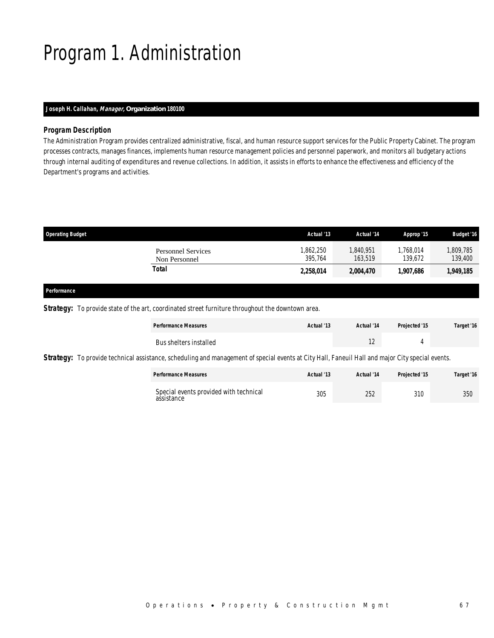# Program 1. Administration

## *Joseph H. Callahan, Manager, Organization 180100*

### *Program Description*

The Administration Program provides centralized administrative, fiscal, and human resource support services for the Public Property Cabinet. The program processes contracts, manages finances, implements human resource management policies and personnel paperwork, and monitors all budgetary actions through internal auditing of expenditures and revenue collections. In addition, it assists in efforts to enhance the effectiveness and efficiency of the Department's programs and activities.

| <b>Operating Budget</b>                    | Actual '13           | Actual '14         | Approp '15           | <b>Budget '16</b>   |
|--------------------------------------------|----------------------|--------------------|----------------------|---------------------|
| <b>Personnel Services</b><br>Non Personnel | 1,862,250<br>395.764 | 840,951<br>163,519 | 1,768,014<br>139.672 | ,809,785<br>139,400 |
| Total                                      | 2,258,014            | 2,004,470          | 1,907,686            | 1,949,185           |
|                                            |                      |                    |                      |                     |

### *Performance*

**Strategy:** To provide state of the art, coordinated street furniture throughout the downtown area.

| <b>Performance Measures</b> | Actual '13 | Actual '14    | Projected '15 | Target '16 |
|-----------------------------|------------|---------------|---------------|------------|
| Bus shelters installed      |            | $\sim$<br>. L |               |            |

Strategy: To provide technical assistance, scheduling and management of special events at City Hall, Faneuil Hall and major City special events.

| <b>Performance Measures</b>                          | Actual '13 | Actual '14 | Projected '15 | Target '16 |
|------------------------------------------------------|------------|------------|---------------|------------|
| Special events provided with technical<br>assistance | 305        | 252        | 310           | 350        |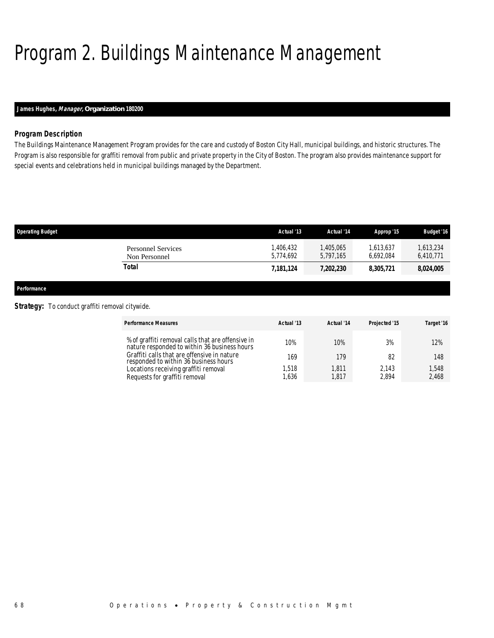# Program 2. Buildings Maintenance Management

# *James Hughes, Manager, Organization 180200*

### *Program Description*

The Buildings Maintenance Management Program provides for the care and custody of Boston City Hall, municipal buildings, and historic structures. The Program is also responsible for graffiti removal from public and private property in the City of Boston. The program also provides maintenance support for special events and celebrations held in municipal buildings managed by the Department.

| <b>Operating Budget</b>             | Actual '13             | Actual '14             | Approp '15             | <b>Budget '16</b>    |
|-------------------------------------|------------------------|------------------------|------------------------|----------------------|
| Personnel Services<br>Non Personnel | 1.406.432<br>5.774.692 | 1,405,065<br>5.797.165 | 1.613.637<br>6.692.084 | 613,234<br>6,410,771 |
| Total                               | 7,181,124              | 7,202,230              | 8,305,721              | 8,024,005            |
|                                     |                        |                        |                        |                      |

*Performance* 

### **Strategy:** To conduct graffiti removal citywide.

| <b>Performance Measures</b>                                                                       | Actual '13 | Actual '14 | Projected '15 | Target '16 |
|---------------------------------------------------------------------------------------------------|------------|------------|---------------|------------|
| % of graffiti removal calls that are offensive in<br>nature responded to within 36 business hours | 10%        | 10%        | 3%            | 12%        |
| Graffiti calls that are offensive in nature<br>responded to within 36 business hours              | 169        | 179        | 82            | 148        |
| Locations receiving graffiti removal                                                              | 1.518      | .811       | 2.143         | 1,548      |
| Requests for graffiti removal                                                                     | 1,636      | .817       | 2.894         | 2.468      |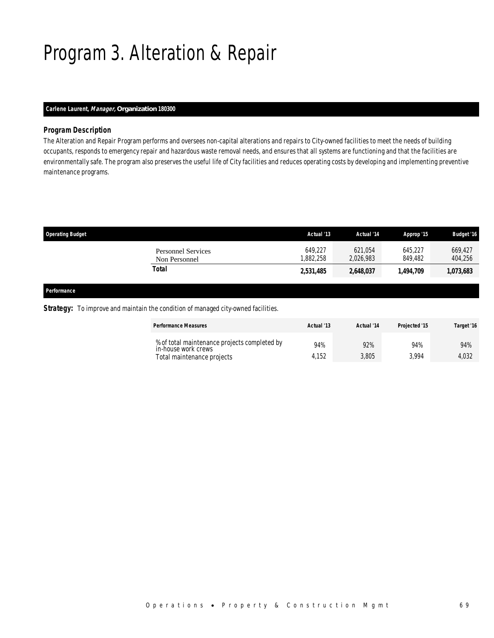# Program 3. Alteration & Repair

# *Carlene Laurent, Manager, Organization 180300*

### *Program Description*

The Alteration and Repair Program performs and oversees non-capital alterations and repairs to City-owned facilities to meet the needs of building occupants, responds to emergency repair and hazardous waste removal needs, and ensures that all systems are functioning and that the facilities are environmentally safe. The program also preserves the useful life of City facilities and reduces operating costs by developing and implementing preventive maintenance programs.

| <b>Operating Budget</b>                    | Actual '13          | Actual '14           | Approp '15         | <b>Budget '16</b>  |
|--------------------------------------------|---------------------|----------------------|--------------------|--------------------|
| <b>Personnel Services</b><br>Non Personnel | 649.227<br>.882.258 | 621.054<br>2,026,983 | 645.227<br>849.482 | 669,427<br>404,256 |
| Total                                      | 2,531,485           | 2,648,037            | 1,494,709          | 1,073,683          |
|                                            |                     |                      |                    |                    |

### *Performance*

#### **Strategy:** To improve and maintain the condition of managed city-owned facilities.

| <b>Performance Measures</b>                                         | Actual '13 | Actual '14 | Projected '15 | Target '16 |
|---------------------------------------------------------------------|------------|------------|---------------|------------|
| % of total maintenance projects completed by<br>in-house work crews | 94%        | 92%        | 94%           | 94%        |
| Total maintenance projects                                          | 4.152      | 3,805      | 3.994         | 4.032      |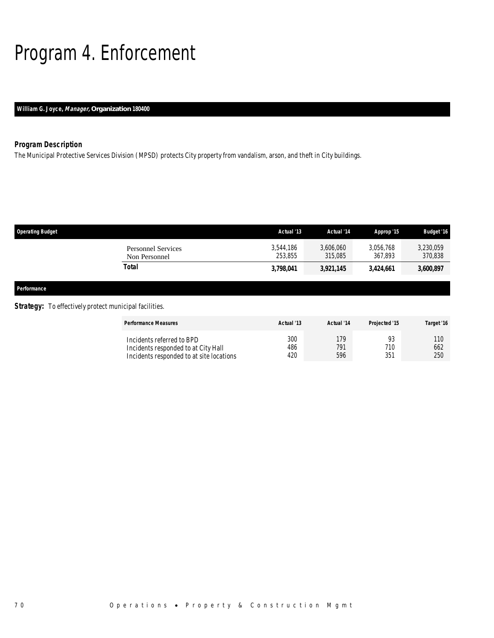# Program 4. Enforcement

# *William G. Joyce, Manager, Organization 180400*

# *Program Description*

The Municipal Protective Services Division (MPSD) protects City property from vandalism, arson, and theft in City buildings.

| <b>Operating Budget</b>                    | Actual '13           | Actual '14           | Approp '15           | <b>Budget '16</b>    |
|--------------------------------------------|----------------------|----------------------|----------------------|----------------------|
| <b>Personnel Services</b><br>Non Personnel | 3,544,186<br>253,855 | 3,606,060<br>315,085 | 3,056,768<br>367,893 | 3,230,059<br>370,838 |
| <b>Total</b>                               | 3,798,041            | 3,921,145            | 3,424,661            | 3,600,897            |
| Performance                                |                      |                      |                      |                      |

# **Strategy:** To effectively protect municipal facilities.

| <b>Performance Measures</b>                                                                                  | Actual '13        | Actual '14        | Projected '15 | Target '16 |
|--------------------------------------------------------------------------------------------------------------|-------------------|-------------------|---------------|------------|
| Incidents referred to BPD<br>Incidents responded to at City Hall<br>Incidents responded to at site locations | 300<br>486<br>420 | 179<br>791<br>596 | 710<br>351    | 662<br>250 |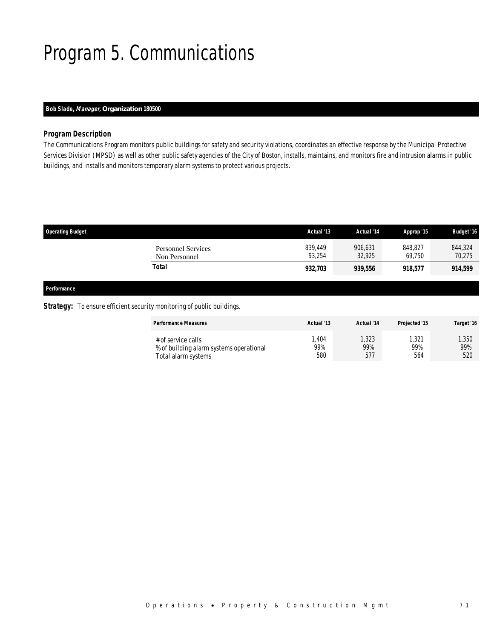# Program 5. Communications

# *Bob Slade, Manager, Organization 180500*

### *Program Description*

The Communications Program monitors public buildings for safety and security violations, coordinates an effective response by the Municipal Protective Services Division (MPSD) as well as other public safety agencies of the City of Boston, installs, maintains, and monitors fire and intrusion alarms in public buildings, and installs and monitors temporary alarm systems to protect various projects.

| <b>Operating Budget</b>                    | Actual '13        | Actual '14        | Approp '15        | <b>Budget '16</b> |
|--------------------------------------------|-------------------|-------------------|-------------------|-------------------|
| <b>Personnel Services</b><br>Non Personnel | 839.449<br>93.254 | 906,631<br>32.925 | 848.827<br>69.750 | 844,324<br>70,275 |
| Total                                      | 932,703           | 939,556           | 918,577           | 914,599           |

*Performance* 

## **Strategy:** To ensure efficient security monitoring of public buildings.

| <b>Performance Measures</b>             | Actual '13 | Actual '14 | Projected '15 | Target '16 |
|-----------------------------------------|------------|------------|---------------|------------|
| # of service calls                      | .404       | ,323       | , 321         | ,350       |
| % of building alarm systems operational | 99%        | 99%        | 99%           | 99%        |
| Total alarm systems                     | 580        | 577        | 564           | 520        |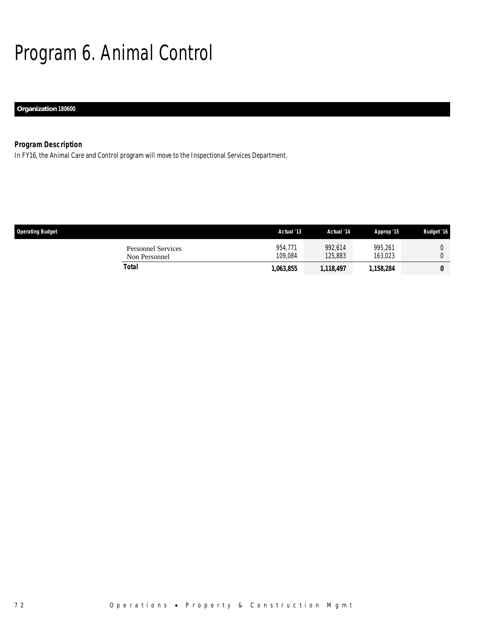# Program 6. Animal Control

# *Organization 180600*

# *Program Description*

In FY16, the Animal Care and Control program will move to the Inspectional Services Department.

| <b>Operating Budget</b>                    | Actual '13         | Actual '14         | Approp '15         | <b>Budget '16</b> |
|--------------------------------------------|--------------------|--------------------|--------------------|-------------------|
| <b>Personnel Services</b><br>Non Personnel | 954.771<br>109.084 | 992.614<br>125,883 | 995.261<br>163.023 |                   |
| Total                                      | 1,063,855          | 1,118,497          | 1,158,284          | 0                 |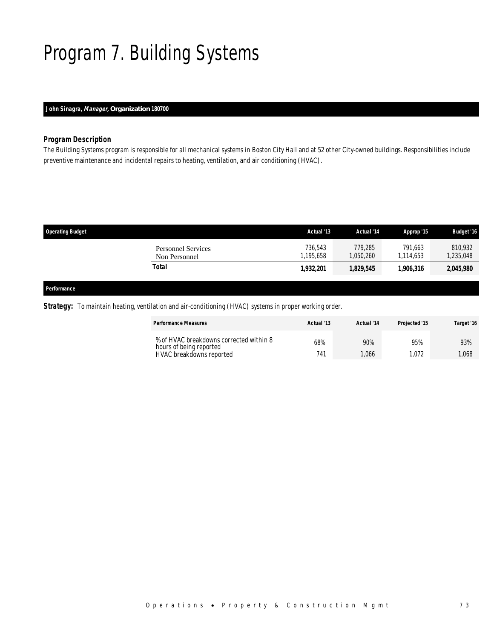# Program 7. Building Systems

# *John Sinagra, Manager, Organization 180700*

# *Program Description*

The Building Systems program is responsible for all mechanical systems in Boston City Hall and at 52 other City-owned buildings. Responsibilities include preventive maintenance and incidental repairs to heating, ventilation, and air conditioning (HVAC).

| <b>Operating Budget</b>                    | Actual '13           | Actual '14           | Approp '15          | <b>Budget '16</b>    |
|--------------------------------------------|----------------------|----------------------|---------------------|----------------------|
| <b>Personnel Services</b><br>Non Personnel | 736.543<br>1,195,658 | 779.285<br>1,050,260 | 791.663<br>.114.653 | 810.932<br>1,235,048 |
| Total                                      | 1,932,201            | 1,829,545            | 1.906.316           | 2,045,980            |
|                                            |                      |                      |                     |                      |

### *Performance*

*Strategy:* To maintain heating, ventilation and air-conditioning (HVAC) systems in proper working order.

| <b>Performance Measures</b>                                        | Actual '13 | Actual '14 | Projected '15 | Target '16 |
|--------------------------------------------------------------------|------------|------------|---------------|------------|
| % of HVAC breakdowns corrected within 8<br>hours of being reported | 68%        | 90%        | 95%           | 93%        |
| HVAC breakdowns reported                                           | 741        | .066       | .072          | 1.068      |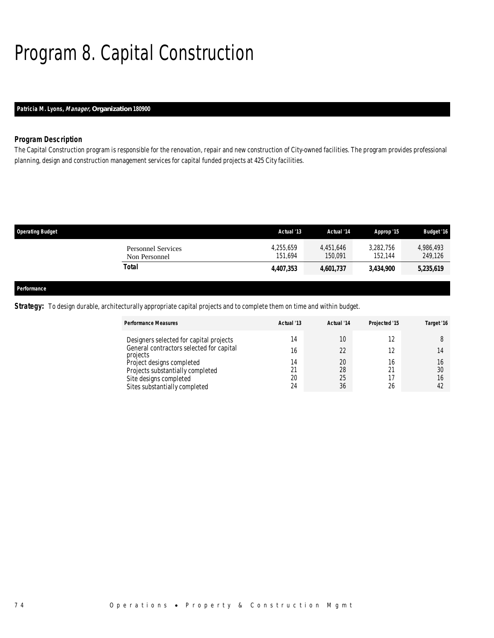# Program 8. Capital Construction

# *Patricia M. Lyons, Manager, Organization 180900*

## *Program Description*

The Capital Construction program is responsible for the renovation, repair and new construction of City-owned facilities. The program provides professional planning, design and construction management services for capital funded projects at 425 City facilities.

| <b>Operating Budget</b> |                                            | Actual '13           | Actual '14           | Approp '15           | <b>Budget '16</b>    |
|-------------------------|--------------------------------------------|----------------------|----------------------|----------------------|----------------------|
|                         | <b>Personnel Services</b><br>Non Personnel | 4.255.659<br>151.694 | 4.451.646<br>150.091 | 3.282.756<br>152.144 | 4.986.493<br>249,126 |
|                         | Total                                      | 4,407,353            | 4,601,737            | 3.434.900            | 5,235,619            |
|                         |                                            |                      |                      |                      |                      |
| Performance             |                                            |                      |                      |                      |                      |

*Strategy:* To design durable, architecturally appropriate capital projects and to complete them on time and within budget.

| <b>Performance Measures</b>                          | Actual '13 | Actual '14 | Projected '15 | Target '16 |
|------------------------------------------------------|------------|------------|---------------|------------|
| Designers selected for capital projects              | 14         | 10         |               |            |
| General contractors selected for capital<br>projects | 16         | 22         |               |            |
| Project designs completed                            | 14         | 20         | 16            |            |
| Projects substantially completed                     |            | 28         | 21            | 30         |
| Site designs completed                               | 20         | 25         |               | 16         |
| Sites substantially completed                        | 24         | 36         | 26            | 42         |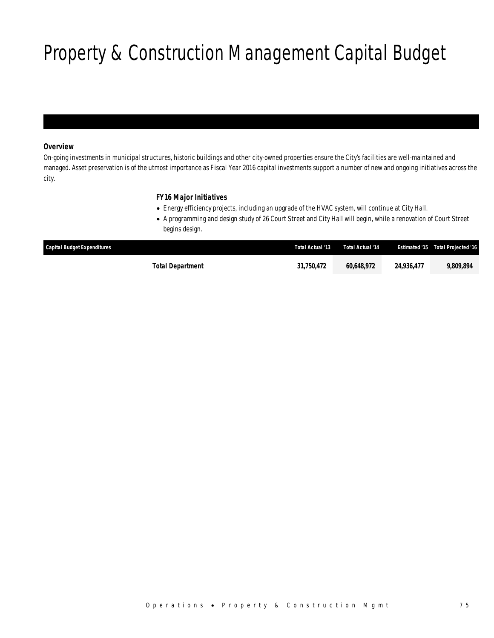# Property & Construction Management Capital Budget

# *Overview*

On-going investments in municipal structures, historic buildings and other city-owned properties ensure the City's facilities are well-maintained and managed. Asset preservation is of the utmost importance as Fiscal Year 2016 capital investments support a number of new and ongoing initiatives across the city.

# *FY16 Major Initiatives*

- Energy efficiency projects, including an upgrade of the HVAC system, will continue at City Hall.
- A programming and design study of 26 Court Street and City Hall will begin, while a renovation of Court Street begins design.

| <b>Capital Budget Expenditures</b> | Total Actual '13 | Total Actual '14 |            | <b>Estimated '15 Total Projected '16</b> |
|------------------------------------|------------------|------------------|------------|------------------------------------------|
| Total Department                   | 31,750,472       | 60.648.972       | 24,936,477 | 9.809.894                                |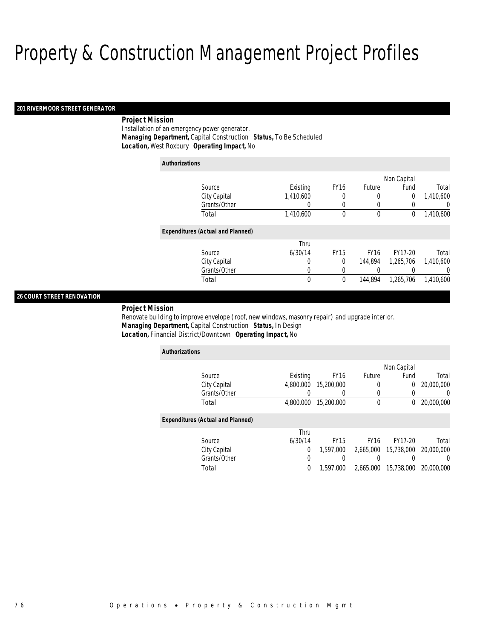#### *201 RIVERMOOR STREET GENERATOR*

# *Project Mission*

Installation of an emergency power generator. *Managing Department,* Capital Construction *Status,* To Be Scheduled*Location,* West Roxbury *Operating Impact,* No

#### *Authorizations*

|                                          |           |             |               | Non Capital |           |
|------------------------------------------|-----------|-------------|---------------|-------------|-----------|
| Source                                   | Existing  | <b>FY16</b> | <b>Future</b> | Fund        | Total     |
| City Capital                             | 1,410,600 | 0           | 0             | 0           | 1,410,600 |
| Grants/Other                             |           | 0           | 0             | 0           | 0         |
| Total                                    | 1,410,600 | 0           | 0             | 0           | 1,410,600 |
| <b>Expenditures (Actual and Planned)</b> |           |             |               |             |           |
|                                          | Thru      |             |               |             |           |
| Source                                   | 6/30/14   | <b>FY15</b> | <b>FY16</b>   | FY17-20     | Total     |
| City Capital                             | 0         | 0           | 144.894       | 1,265,706   | 1.410.600 |
| Grants/Other                             |           |             | 0             |             | 0         |
| Total                                    | 0         | 0           | 144.894       | 1,265,706   | 1,410,600 |

## *26 COURT STREET RENOVATION*

*Project Mission* 

Renovate building to improve envelope (roof, new windows, masonry repair) and upgrade interior. *Managing Department,* Capital Construction *Status,* In Design*Location,* Financial District/Downtown *Operating Impact,* No

| <b>Authorizations</b>                    |           |             |             |             |                  |  |  |  |
|------------------------------------------|-----------|-------------|-------------|-------------|------------------|--|--|--|
|                                          |           |             |             | Non Capital |                  |  |  |  |
| Source                                   | Existing  | <b>FY16</b> | Future      | Fund        | Total            |  |  |  |
| City Capital                             | 4,800,000 | 15,200,000  | 0           | 0           | 20,000,000       |  |  |  |
| Grants/Other                             |           |             |             |             | $\left( \right)$ |  |  |  |
| Total                                    | 4.800.000 | 15,200,000  | $\theta$    | $^{0}$      | 20,000,000       |  |  |  |
| <b>Expenditures (Actual and Planned)</b> |           |             |             |             |                  |  |  |  |
|                                          | Thru      |             |             |             |                  |  |  |  |
| Source                                   | 6/30/14   | <b>FY15</b> | <b>FY16</b> | FY17-20     | Total            |  |  |  |
| City Capital                             | 0         | 1,597,000   | 2.665.000   | 15,738,000  | 20,000,000       |  |  |  |
| Grants/Other                             | 0         |             |             | 0           | $\left( \right)$ |  |  |  |
| Total                                    | $\theta$  | 1,597,000   | 2.665.000   | 15,738,000  | 20,000,000       |  |  |  |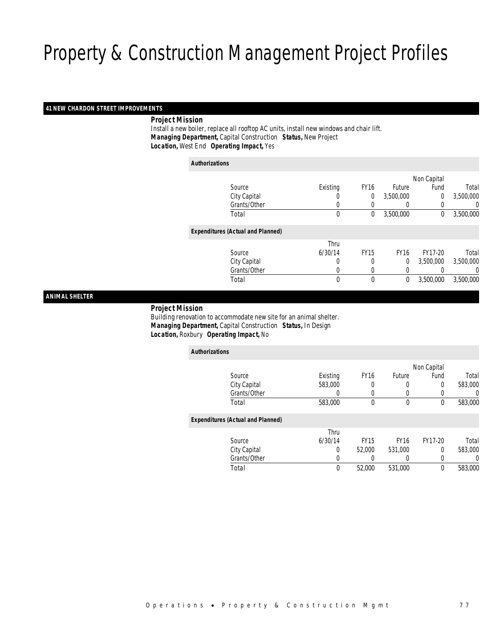### *41 NEW CHARDON STREET IMPROVEMENTS*

### *Project Mission*

 Install a new boiler, replace all rooftop AC units, install new windows and chair lift. *Managing Department,* Capital Construction *Status,* New Project*Location,* West End *Operating Impact,* Yes

*Authorizations*

|                                          |             |              |              | Non Capital    |           |
|------------------------------------------|-------------|--------------|--------------|----------------|-----------|
| Source                                   | Existing    | <b>FY16</b>  | Future       | Fund           | Total     |
| City Capital                             | U           | 0            | 3,500,000    | $\overline{0}$ | 3,500,000 |
| Grants/Other                             | 0           |              | 0            | 0              | 0         |
| Total                                    | $\mathbf 0$ | 0            | 3,500,000    | $\mathbf 0$    | 3,500,000 |
| <b>Expenditures (Actual and Planned)</b> |             |              |              |                |           |
|                                          | Thru        |              |              |                |           |
| Source                                   | 6/30/14     | <b>FY15</b>  | <b>FY16</b>  | FY17-20        | Total     |
| City Capital                             | 0           | 0            | 0            | 3,500,000      | 3,500,000 |
| Grants/Other                             | 0           | 0            | 0            |                | 0         |
| Total                                    | 0           | $\mathbf{0}$ | $\mathbf{0}$ | 3,500,000      | 3,500,000 |
|                                          |             |              |              |                |           |

*ANIMAL SHELTER* 

#### *Project Mission*

 Building renovation to accommodate new site for an animal shelter. *Managing Department,* Capital Construction *Status,* In Design*Location,* Roxbury *Operating Impact,* No

| <b>Authorizations</b>                    |          |             |                  |                  |          |
|------------------------------------------|----------|-------------|------------------|------------------|----------|
|                                          |          |             |                  | Non Capital      |          |
| Source                                   | Existing | <b>FY16</b> | <b>Future</b>    | Fund             | Total    |
| City Capital                             | 583,000  | 0           | 0                | 0                | 583,000  |
| Grants/Other                             | $\left($ | $\left($    | 0                |                  | 0        |
| Total                                    | 583,000  | 0           | $\boldsymbol{0}$ | $\boldsymbol{0}$ | 583,000  |
| <b>Expenditures (Actual and Planned)</b> |          |             |                  |                  |          |
|                                          | Thru     |             |                  |                  |          |
| Source                                   | 6/30/14  | <b>FY15</b> | <b>FY16</b>      | FY17-20          | Total    |
| City Capital                             | 0        | 52,000      | 531,000          | 0                | 583,000  |
| Grants/Other                             | 0        | $\left($    | 0                | 0                | $\Omega$ |
| Total                                    | 0        | 52,000      | 531,000          | $\mathbf 0$      | 583,000  |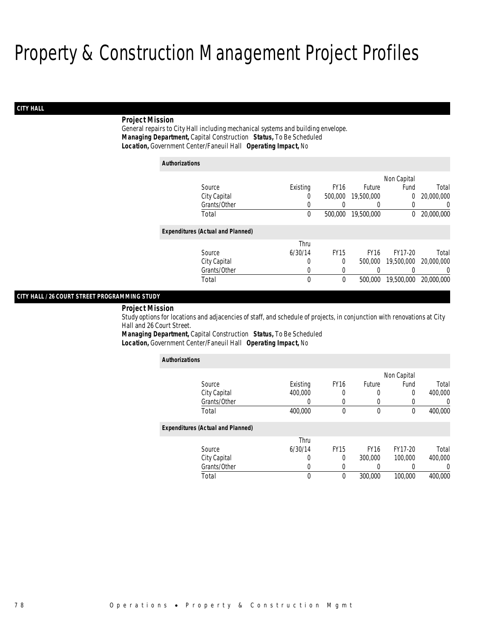# *CITY HALL*

# *Project Mission*

General repairs to City Hall including mechanical systems and building envelope. *Managing Department,* Capital Construction *Status,* To Be Scheduled*Location,* Government Center/Faneuil Hall *Operating Impact,* No

| <b>Authorizations</b>                    |          |             |             |             |            |
|------------------------------------------|----------|-------------|-------------|-------------|------------|
|                                          |          |             |             | Non Capital |            |
| Source                                   | Existing | <b>FY16</b> | Future      | Fund        | Total      |
| City Capital                             | 0        | 500,000     | 19,500,000  | 0           | 20,000,000 |
| Grants/Other                             | 0        | 0           |             | 0           | 0          |
| Total                                    | $\theta$ | 500,000     | 19,500,000  | $^{0}$      | 20,000,000 |
| <b>Expenditures (Actual and Planned)</b> |          |             |             |             |            |
|                                          | Thru     |             |             |             |            |
| Source                                   | 6/30/14  | <b>FY15</b> | <b>FY16</b> | FY17-20     | Total      |
| City Capital                             | 0        | $\Omega$    | 500,000     | 19,500,000  | 20,000,000 |
| Grants/Other                             | 0        | $\left($    |             |             | $\Omega$   |
| Total                                    | 0        | 0           | 500,000     | 19,500,000  | 20,000,000 |

### *CITY HALL / 26 COURT STREET PROGRAMMING STUDY*

*Project Mission* 

Study options for locations and adjacencies of staff, and schedule of projects, in conjunction with renovations at City Hall and 26 Court Street.

*Managing Department,* Capital Construction *Status,* To Be Scheduled

*Location,* Government Center/Faneuil Hall *Operating Impact,* No

| <b>Authorizations</b>                    |          |                  |             |                  |          |
|------------------------------------------|----------|------------------|-------------|------------------|----------|
|                                          |          |                  |             | Non Capital      |          |
| Source                                   | Existing | FY <sub>16</sub> | Future      | Fund             | Total    |
| City Capital                             | 400,000  | 0                | O           | 0                | 400,000  |
| Grants/Other                             | 0        | 0                | 0           | $\left( \right)$ | $\Omega$ |
| Total                                    | 400.000  | 0                | $\theta$    | $\Omega$         | 400,000  |
| <b>Expenditures (Actual and Planned)</b> |          |                  |             |                  |          |
|                                          | Thru     |                  |             |                  |          |
| Source                                   | 6/30/14  | <b>FY15</b>      | <b>FY16</b> | FY17-20          | Total    |
| City Capital                             | 0        | 0                | 300,000     | 100,000          | 400,000  |
| Grants/Other                             | 0        | 0                | 0           |                  | $\Omega$ |
| Total                                    | 0        | 0                | 300,000     | 100,000          | 400,000  |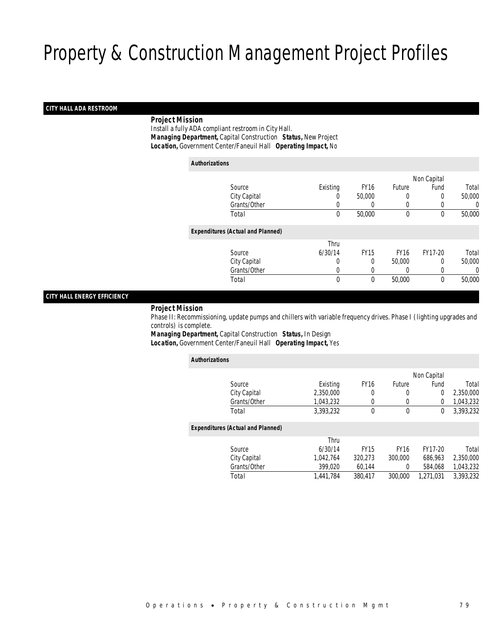### *CITY HALL ADA RESTROOM*

### *Project Mission*

 Install a fully ADA compliant restroom in City Hall. *Managing Department,* Capital Construction *Status,* New Project*Location,* Government Center/Faneuil Hall *Operating Impact,* No

| <b>Authorizations</b> |                                          |             |             |             |             |        |
|-----------------------|------------------------------------------|-------------|-------------|-------------|-------------|--------|
|                       |                                          |             |             |             | Non Capital |        |
|                       | Source                                   | Existing    | <b>FY16</b> | Future      | Fund        | Total  |
|                       | City Capital                             | 0           | 50,000      | $\left($    | 0           | 50,000 |
|                       | Grants/Other                             | 0           |             | $\left($    |             | 0      |
|                       | Total                                    | $\mathbf 0$ | 50,000      | $\mathbf 0$ | 0           | 50,000 |
|                       | <b>Expenditures (Actual and Planned)</b> |             |             |             |             |        |
|                       |                                          | Thru        |             |             |             |        |
|                       | Source                                   | 6/30/14     | <b>FY15</b> | <b>FY16</b> | FY17-20     | Total  |
|                       | City Capital                             | 0           | 0           | 50,000      | 0           | 50,000 |
|                       | Grants/Other                             | 0           |             |             | 0           | 0      |
|                       | Total                                    | 0           | 0           | 50,000      | 0           | 50,000 |
|                       |                                          |             |             |             |             |        |

## *CITY HALL ENERGY EFFICIENCY*

#### *Project Mission*

 Phase II: Recommissioning, update pumps and chillers with variable frequency drives. Phase I (lighting upgrades and controls) is complete.

*Managing Department,* Capital Construction *Status,* In Design*Location,* Government Center/Faneuil Hall *Operating Impact,* Yes

| <b>Authorizations</b> |                                          |           |             |             |                |           |
|-----------------------|------------------------------------------|-----------|-------------|-------------|----------------|-----------|
|                       |                                          |           |             |             | Non Capital    |           |
|                       | Source                                   | Existing  | <b>FY16</b> | Future      | Fund           | Total     |
|                       | City Capital                             | 2.350.000 | 0           | 0           | $\overline{0}$ | 2.350.000 |
|                       | Grants/Other                             | 1.043.232 | 0           | 0           | 0              | 1,043,232 |
|                       | Total                                    | 3.393.232 | $\theta$    | $\mathbf 0$ | 0              | 3.393.232 |
|                       | <b>Expenditures (Actual and Planned)</b> |           |             |             |                |           |
|                       |                                          | Thru      |             |             |                |           |
|                       | Source                                   | 6/30/14   | <b>FY15</b> | <b>FY16</b> | FY17-20        | Total     |
|                       | City Capital                             | 1.042.764 | 320.273     | 300,000     | 686.963        | 2,350,000 |
|                       | Grants/Other                             | 399.020   | 60.144      | $\Omega$    | 584.068        | 1.043.232 |
|                       | Total                                    | 1.441.784 | 380,417     | 300,000     | 1.271.031      | 3.393.232 |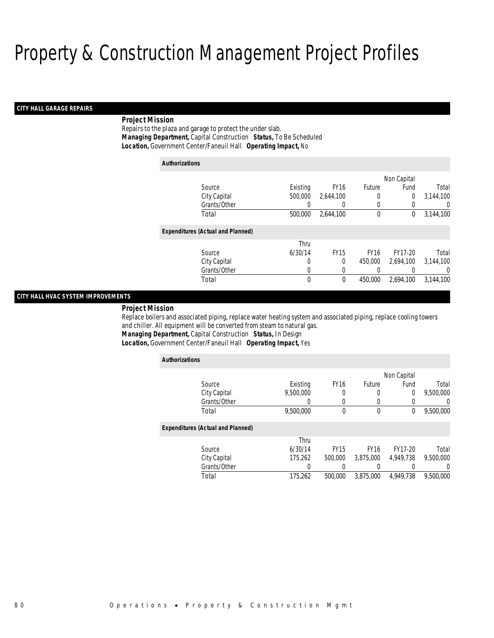# *CITY HALL GARAGE REPAIRS*

### *Project Mission*

Repairs to the plaza and garage to protect the under slab. *Managing Department,* Capital Construction *Status,* To Be Scheduled*Location,* Government Center/Faneuil Hall *Operating Impact,* No

| <b>Authorizations</b>                    |          |             |             |             |           |
|------------------------------------------|----------|-------------|-------------|-------------|-----------|
|                                          |          |             |             | Non Capital |           |
| Source                                   | Existing | <b>FY16</b> | Future      | Fund        | Total     |
| City Capital                             | 500,000  | 2,644,100   | 0           | 0           | 3,144,100 |
| Grants/Other                             |          | 0           | 0           | 0           | $\Omega$  |
| Total                                    | 500,000  | 2,644,100   | 0           | 0           | 3,144,100 |
| <b>Expenditures (Actual and Planned)</b> |          |             |             |             |           |
|                                          | Thru     |             |             |             |           |
| Source                                   | 6/30/14  | <b>FY15</b> | <b>FY16</b> | FY17-20     | Total     |
| City Capital                             | 0        | 0           | 450,000     | 2,694,100   | 3,144,100 |
| Grants/Other                             | 0        | 0           | 0           |             | 0         |
| Total                                    | $\theta$ | $\theta$    | 450,000     | 2.694.100   | 3,144,100 |

## *CITY HALL HVAC SYSTEM IMPROVEMENTS*

*Project Mission* 

Replace boilers and associated piping, replace water heating system and associated piping, replace cooling towers and chiller. All equipment will be converted from steam to natural gas.

*Managing Department,* Capital Construction *Status,* In Design

*Location,* Government Center/Faneuil Hall *Operating Impact,* Yes

| <b>Authorizations</b>                    |           |             |                  |             |                  |
|------------------------------------------|-----------|-------------|------------------|-------------|------------------|
|                                          |           |             |                  | Non Capital |                  |
| Source                                   | Existing  | <b>FY16</b> | Future           | Fund        | Total            |
| City Capital                             | 9.500.000 | 0           | $\left( \right)$ | 0           | 9,500,000        |
| Grants/Other                             | 0         | 0           | 0                | $\Omega$    | 0                |
| Total                                    | 9,500,000 | 0           | 0                | $\theta$    | 9,500,000        |
| <b>Expenditures (Actual and Planned)</b> |           |             |                  |             |                  |
|                                          | Thru      |             |                  |             |                  |
| Source                                   | 6/30/14   | <b>FY15</b> | <b>FY16</b>      | FY17-20     | Total            |
| City Capital                             | 175,262   | 500,000     | 3.875.000        | 4.949.738   | 9.500.000        |
| Grants/Other                             | 0         |             |                  |             | $\left( \right)$ |
| Total                                    | 175,262   | 500,000     | 3,875,000        | 4.949.738   | 9,500,000        |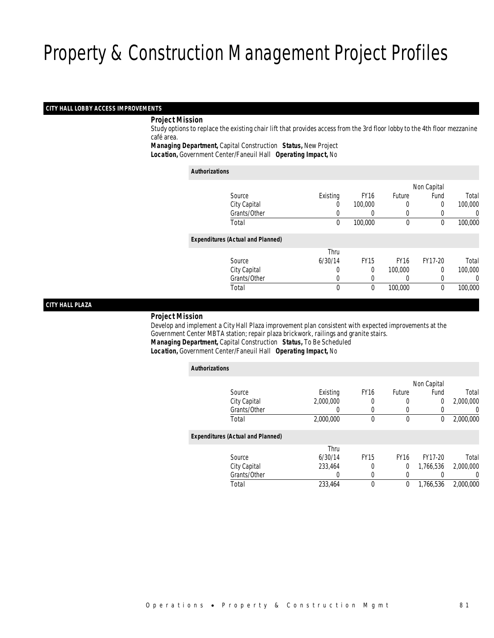### *CITY HALL LOBBY ACCESS IMPROVEMENTS*

### *Project Mission*

 Study options to replace the existing chair lift that provides access from the 3rd floor lobby to the 4th floor mezzanine café area.

*Managing Department,* Capital Construction *Status,* New Project*Location,* Government Center/Faneuil Hall *Operating Impact,* No

|                                          |          |             |             | Non Capital |          |
|------------------------------------------|----------|-------------|-------------|-------------|----------|
| Source                                   | Existing | <b>FY16</b> | Future      | Fund        | Total    |
| City Capital                             | 0        | 100,000     | 0           | $\Omega$    | 100,000  |
| Grants/Other                             | 0        | 0           | 0           | 0           | $\theta$ |
| Total                                    | 0        | 100,000     | 0           | 0           | 100,000  |
| <b>Expenditures (Actual and Planned)</b> |          |             |             |             |          |
|                                          | Thru     |             |             |             |          |
| Source                                   | 6/30/14  | <b>FY15</b> | <b>FY16</b> | FY17-20     | Total    |
| City Capital                             | 0        | $\theta$    | 100,000     | $\Omega$    | 100,000  |
| Grants/Other                             | 0        | 0           | 0           | 0           | $\theta$ |
| Total                                    | 0        | 0           | 100,000     | $\mathbf 0$ | 100,000  |

### *CITY HALL PLAZA*

#### *Project Mission*

 Develop and implement a City Hall Plaza improvement plan consistent with expected improvements at the Government Center MBTA station; repair plaza brickwork, railings and granite stairs. *Managing Department,* Capital Construction *Status,* To Be Scheduled*Location,* Government Center/Faneuil Hall *Operating Impact,* No

| <b>Authorizations</b>                    |           |                  |             |             |           |
|------------------------------------------|-----------|------------------|-------------|-------------|-----------|
|                                          |           |                  |             | Non Capital |           |
| Source                                   | Existing  | FY <sub>16</sub> | Future      | Fund        | Total     |
| City Capital                             | 2.000.000 | 0                | 0           | 0           | 2.000.000 |
| Grants/Other                             | 0         | 0                | 0           |             | 0         |
| Total                                    | 2,000,000 | 0                | 0           | 0           | 2,000,000 |
| <b>Expenditures (Actual and Planned)</b> |           |                  |             |             |           |
|                                          | Thru      |                  |             |             |           |
| Source                                   | 6/30/14   | <b>FY15</b>      | <b>FY16</b> | FY17-20     | Total     |
| City Capital                             | 233.464   | 0                | 0           | 1,766,536   | 2,000,000 |
| Grants/Other                             | 0         | 0                | 0           |             | 0         |
| Total                                    | 233.464   | 0                | 0           | 1.766.536   | 2.000.000 |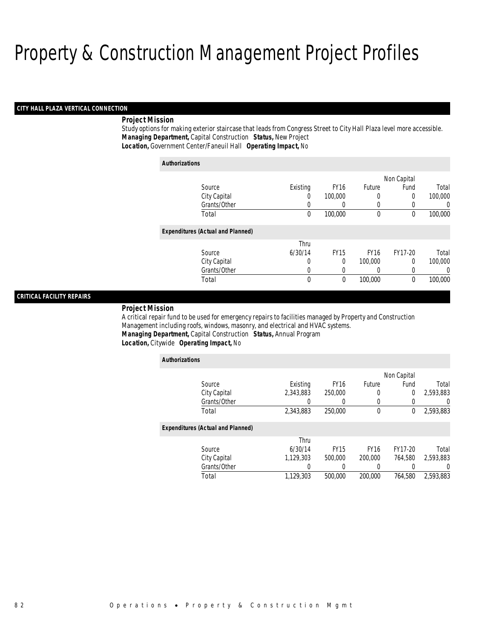### *CITY HALL PLAZA VERTICAL CONNECTION*

### *Project Mission*

Study options for making exterior staircase that leads from Congress Street to City Hall Plaza level more accessible. *Managing Department,* Capital Construction *Status,* New Project*Location,* Government Center/Faneuil Hall *Operating Impact,* No

| <b>Authorizations</b>                    |             |             |             |             |         |
|------------------------------------------|-------------|-------------|-------------|-------------|---------|
|                                          |             |             |             | Non Capital |         |
| Source                                   | Existing    | <b>FY16</b> | Future      | Fund        | Total   |
| City Capital                             | 0           | 100,000     | 0           | 0           | 100,000 |
| Grants/Other                             | 0           | 0           | 0           | 0           | 0       |
| Total                                    | 0           | 100,000     | 0           | 0           | 100,000 |
| <b>Expenditures (Actual and Planned)</b> |             |             |             |             |         |
|                                          | Thru        |             |             |             |         |
| Source                                   | 6/30/14     | <b>FY15</b> | <b>FY16</b> | FY17-20     | Total   |
| City Capital                             | 0           | 0           | 100,000     | $\Omega$    | 100,000 |
| Grants/Other                             | $\left($    | 0           | 0           | 0           | 0       |
| Total                                    | $\mathbf 0$ | 0           | 100,000     | 0           | 100,000 |

### *CRITICAL FACILITY REPAIRS*

#### *Project Mission*

A critical repair fund to be used for emergency repairs to facilities managed by Property and Construction Management including roofs, windows, masonry, and electrical and HVAC systems. *Managing Department,* Capital Construction *Status,* Annual Program*Location,* Citywide *Operating Impact,* No

| <b>Authorizations</b>                    |           |             |             |             |           |
|------------------------------------------|-----------|-------------|-------------|-------------|-----------|
|                                          |           |             |             | Non Capital |           |
| Source                                   | Existing  | <b>FY16</b> | Future      | Fund        | Total     |
| City Capital                             | 2,343,883 | 250,000     | 0           | 0           | 2,593,883 |
| Grants/Other                             |           |             |             | 0           | 0         |
| Total                                    | 2,343,883 | 250,000     | $\mathbf 0$ | 0           | 2,593,883 |
| <b>Expenditures (Actual and Planned)</b> |           |             |             |             |           |
|                                          | Thru      |             |             |             |           |
| Source                                   | 6/30/14   | <b>FY15</b> | <b>FY16</b> | FY17-20     | Total     |
| City Capital                             | 1.129.303 | 500,000     | 200,000     | 764.580     | 2.593.883 |
| Grants/Other                             | 0         |             |             |             | 0         |
| Total                                    | 1.129.303 | 500,000     | 200,000     | 764.580     | 2.593.883 |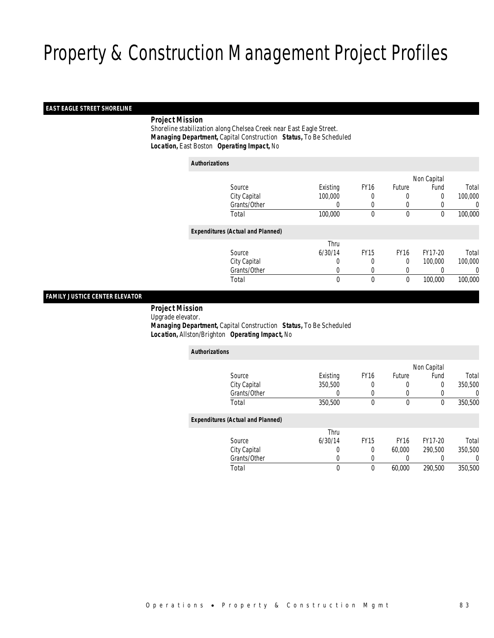### *EAST EAGLE STREET SHORELINE*

### *Project Mission*

 Shoreline stabilization along Chelsea Creek near East Eagle Street. *Managing Department,* Capital Construction *Status,* To Be Scheduled*Location,* East Boston *Operating Impact,* No

| <b>Authorizations</b> |                                          |             |             |             |             |         |
|-----------------------|------------------------------------------|-------------|-------------|-------------|-------------|---------|
|                       |                                          |             |             |             | Non Capital |         |
|                       | Source                                   | Existing    | <b>FY16</b> | Future      | Fund        | Total   |
|                       | City Capital                             | 100,000     | 0           | 0           | 0           | 100,000 |
|                       | Grants/Other                             | $\left($    | 0           | $\left($    |             | 0       |
|                       | Total                                    | 100,000     | $\theta$    | $\mathbf 0$ | 0           | 100,000 |
|                       | <b>Expenditures (Actual and Planned)</b> |             |             |             |             |         |
|                       |                                          | Thru        |             |             |             |         |
|                       | Source                                   | 6/30/14     | <b>FY15</b> | <b>FY16</b> | FY17-20     | Total   |
|                       | City Capital                             | 0           | 0           | $\mathbf 0$ | 100,000     | 100,000 |
|                       | Grants/Other                             | 0           | 0           | 0           | 0           | 0       |
|                       | Total                                    | $\mathbf 0$ | 0           | $\mathbf 0$ | 100,000     | 100,000 |

## *FAMILY JUSTICE CENTER ELEVATOR*

 *Project Mission* Upgrade elevator. *Managing Department,* Capital Construction *Status,* To Be Scheduled*Location,* Allston/Brighton *Operating Impact,* No

| <b>Authorizations</b>                    |          |             |             |             |         |
|------------------------------------------|----------|-------------|-------------|-------------|---------|
|                                          |          |             |             | Non Capital |         |
| Source                                   | Existing | <b>FY16</b> | Future      | Fund        | Total   |
| City Capital                             | 350,500  | 0           | 0           | $\Omega$    | 350,500 |
| Grants/Other                             | 0        | 0           | $\Omega$    | $\left($    | 0       |
| Total                                    | 350,500  | 0           | 0           | 0           | 350,500 |
| <b>Expenditures (Actual and Planned)</b> |          |             |             |             |         |
|                                          | Thru     |             |             |             |         |
| Source                                   | 6/30/14  | <b>FY15</b> | <b>FY16</b> | FY17-20     | Total   |
| City Capital                             | 0        | 0           | 60,000      | 290.500     | 350,500 |
| Grants/Other                             | 0        | 0           | 0           | 0           | 0       |
| Total                                    | $\theta$ | 0           | 60,000      | 290,500     | 350,500 |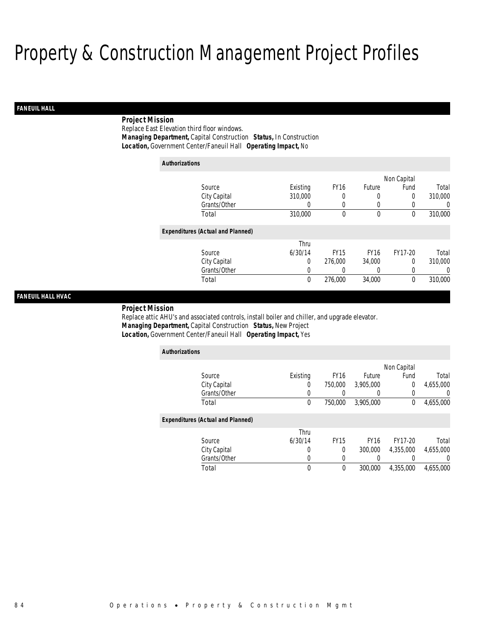# *FANEUIL HALL*

# *Project Mission*

Replace East Elevation third floor windows.*Managing Department,* Capital Construction *Status,* In Construction

*Location,* Government Center/Faneuil Hall *Operating Impact,* No

| <b>Authorizations</b>                    |          |             |              |             |          |
|------------------------------------------|----------|-------------|--------------|-------------|----------|
|                                          |          |             |              | Non Capital |          |
| Source                                   | Existing | <b>FY16</b> | Future       | Fund        | Total    |
| City Capital                             | 310,000  | 0           | 0            | 0           | 310,000  |
| Grants/Other                             | 0        | 0           | 0            |             | $\Omega$ |
| Total                                    | 310,000  | 0           | $\mathbf{0}$ | $\theta$    | 310,000  |
| <b>Expenditures (Actual and Planned)</b> |          |             |              |             |          |
|                                          | Thru     |             |              |             |          |
| Source                                   | 6/30/14  | <b>FY15</b> | <b>FY16</b>  | FY17-20     | Total    |
| City Capital                             | 0        | 276,000     | 34,000       | $\Omega$    | 310,000  |
| Grants/Other                             | 0        | 0           | 0            | 0           | $\Omega$ |
| Total                                    | 0        | 276,000     | 34,000       | $\Omega$    | 310,000  |

# *FANEUIL HALL HVAC*

#### *Project Mission*

Replace attic AHU's and associated controls, install boiler and chiller, and upgrade elevator. *Managing Department,* Capital Construction *Status,* New Project*Location,* Government Center/Faneuil Hall *Operating Impact,* Yes

| <b>Authorizations</b>                    |          |             |             |              |                  |
|------------------------------------------|----------|-------------|-------------|--------------|------------------|
|                                          |          |             |             | Non Capital  |                  |
| Source                                   | Existing | <b>FY16</b> | Future      | Fund         | Total            |
| City Capital                             | 0        | 750,000     | 3,905,000   | 0            | 4,655,000        |
| Grants/Other                             | 0        |             |             | 0            | 0                |
| Total                                    | 0        | 750,000     | 3,905,000   | $\mathbf{0}$ | 4,655,000        |
| <b>Expenditures (Actual and Planned)</b> |          |             |             |              |                  |
|                                          | Thru     |             |             |              |                  |
| Source                                   | 6/30/14  | <b>FY15</b> | <b>FY16</b> | FY17-20      | Total            |
| City Capital                             | 0        | $\Omega$    | 300,000     | 4,355,000    | 4,655,000        |
| Grants/Other                             | 0        | 0           |             |              | $\left( \right)$ |
| Total                                    | 0        | $\theta$    | 300,000     | 4.355.000    | 4.655.000        |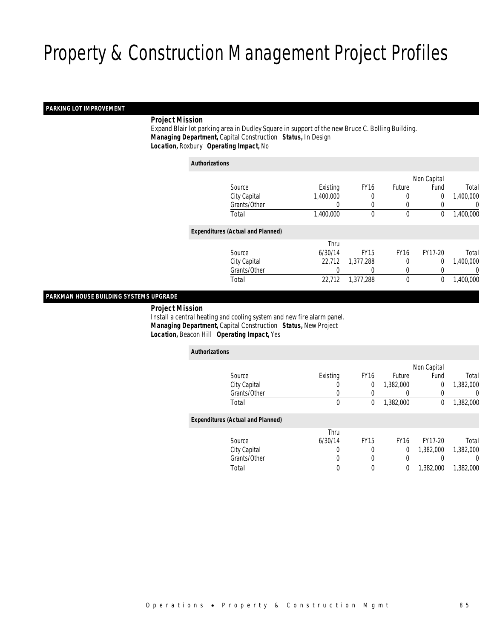### *PARKING LOT IMPROVEMENT*

### *Project Mission*

 Expand Blair lot parking area in Dudley Square in support of the new Bruce C. Bolling Building. *Managing Department,* Capital Construction *Status,* In Design*Location,* Roxbury *Operating Impact,* No

*Authorizations*

|                                          |           |             |             | Non Capital |           |
|------------------------------------------|-----------|-------------|-------------|-------------|-----------|
| Source                                   | Existing  | <b>FY16</b> | Future      | Fund        | Total     |
| City Capital                             | 1,400,000 | 0           | 0           | $\mathbf 0$ | 1,400,000 |
| Grants/Other                             | 0         |             | 0           |             | 0         |
| Total                                    | 1,400,000 | 0           | 0           | 0           | 1,400,000 |
| <b>Expenditures (Actual and Planned)</b> |           |             |             |             |           |
|                                          | Thru      |             |             |             |           |
| Source                                   | 6/30/14   | <b>FY15</b> | <b>FY16</b> | FY17-20     | Total     |
| City Capital                             | 22.712    | 1,377,288   | 0           | $\Omega$    | 1,400,000 |
| Grants/Other                             | 0         | 0           | 0           |             | 0         |
| Total                                    | 22,712    | 1,377,288   | 0           | 0           | 1,400,000 |
|                                          |           |             |             |             |           |

### *PARKMAN HOUSE BUILDING SYSTEMS UPGRADE*

*Project Mission*

 Install a central heating and cooling system and new fire alarm panel. *Managing Department,* Capital Construction *Status,* New Project*Location,* Beacon Hill *Operating Impact,* Yes

| <b>Authorizations</b>                    |                  |             |             |             |           |
|------------------------------------------|------------------|-------------|-------------|-------------|-----------|
|                                          |                  |             |             | Non Capital |           |
| Source                                   | Existing         | <b>FY16</b> | Future      | Fund        | Total     |
| City Capital                             | $\left( \right)$ | 0           | 1.382.000   | 0           | 1,382,000 |
| Grants/Other                             | 0                |             |             | 0           | 0         |
| Total                                    | 0                | 0           | 1,382,000   | 0           | 1,382,000 |
| <b>Expenditures (Actual and Planned)</b> |                  |             |             |             |           |
|                                          | Thru             |             |             |             |           |
| Source                                   | 6/30/14          | <b>FY15</b> | <b>FY16</b> | FY17-20     | Total     |
| City Capital                             | 0                | 0           | $\theta$    | 1.382.000   | 1,382,000 |
| Grants/Other                             | 0                | 0           | 0           |             | $\left($  |
| Total                                    | 0                | $\theta$    | 0           | 1,382,000   | 1,382,000 |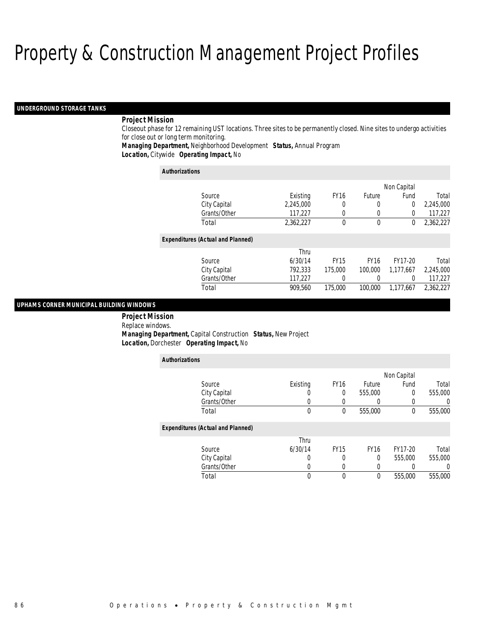#### *UNDERGROUND STORAGE TANKS*

### *Project Mission*

Closeout phase for 12 remaining UST locations. Three sites to be permanently closed. Nine sites to undergo activities for close out or long term monitoring.

*Managing Department,* Neighborhood Development *Status,* Annual Program

*Location,* Citywide *Operating Impact,* No

| <b>Authorizations</b>                    |           |             |             |             |           |  |  |
|------------------------------------------|-----------|-------------|-------------|-------------|-----------|--|--|
|                                          |           |             |             | Non Capital |           |  |  |
| Source                                   | Existing  | <b>FY16</b> | Future      | Fund        | Total     |  |  |
| City Capital                             | 2,245,000 | 0           | 0           | 0           | 2,245,000 |  |  |
| Grants/Other                             | 117,227   | 0           | 0           | 0           | 117,227   |  |  |
| Total                                    | 2,362,227 | $\theta$    | 0           | 0           | 2,362,227 |  |  |
| <b>Expenditures (Actual and Planned)</b> |           |             |             |             |           |  |  |
|                                          | Thru      |             |             |             |           |  |  |
| Source                                   | 6/30/14   | <b>FY15</b> | <b>FY16</b> | FY17-20     | Total     |  |  |
| City Capital                             | 792,333   | 175,000     | 100,000     | 1.177.667   | 2,245,000 |  |  |
| Grants/Other                             | 117,227   |             | 0           | 0           | 117,227   |  |  |
| Total                                    | 909.560   | 175,000     | 100,000     | 1.177.667   | 2.362.227 |  |  |

### *UPHAMS CORNER MUNICIPAL BUILDING WINDOWS*

 *Project Mission* Replace windows. *Managing Department,* Capital Construction *Status,* New Project*Location,* Dorchester *Operating Impact,* No

| <b>Authorizations</b>                    |          |             |             |         |         |
|------------------------------------------|----------|-------------|-------------|---------|---------|
|                                          |          |             | Non Capital |         |         |
| Source                                   | Existing | <b>FY16</b> | Future      | Fund    | Total   |
| City Capital                             |          | 0           | 555,000     | 0       | 555,000 |
| Grants/Other                             | U        | U           |             | 0       | 0       |
| Total                                    | 0        | $\theta$    | 555,000     | 0       | 555,000 |
| <b>Expenditures (Actual and Planned)</b> |          |             |             |         |         |
|                                          | Thru     |             |             |         |         |
| Source                                   | 6/30/14  | <b>FY15</b> | <b>FY16</b> | FY17-20 | Total   |
| City Capital                             | 0        | 0           | 0           | 555,000 | 555,000 |
| Grants/Other                             | 0        | 0           |             |         |         |
| Total                                    | 0        | 0           | $\theta$    | 555,000 | 555,000 |